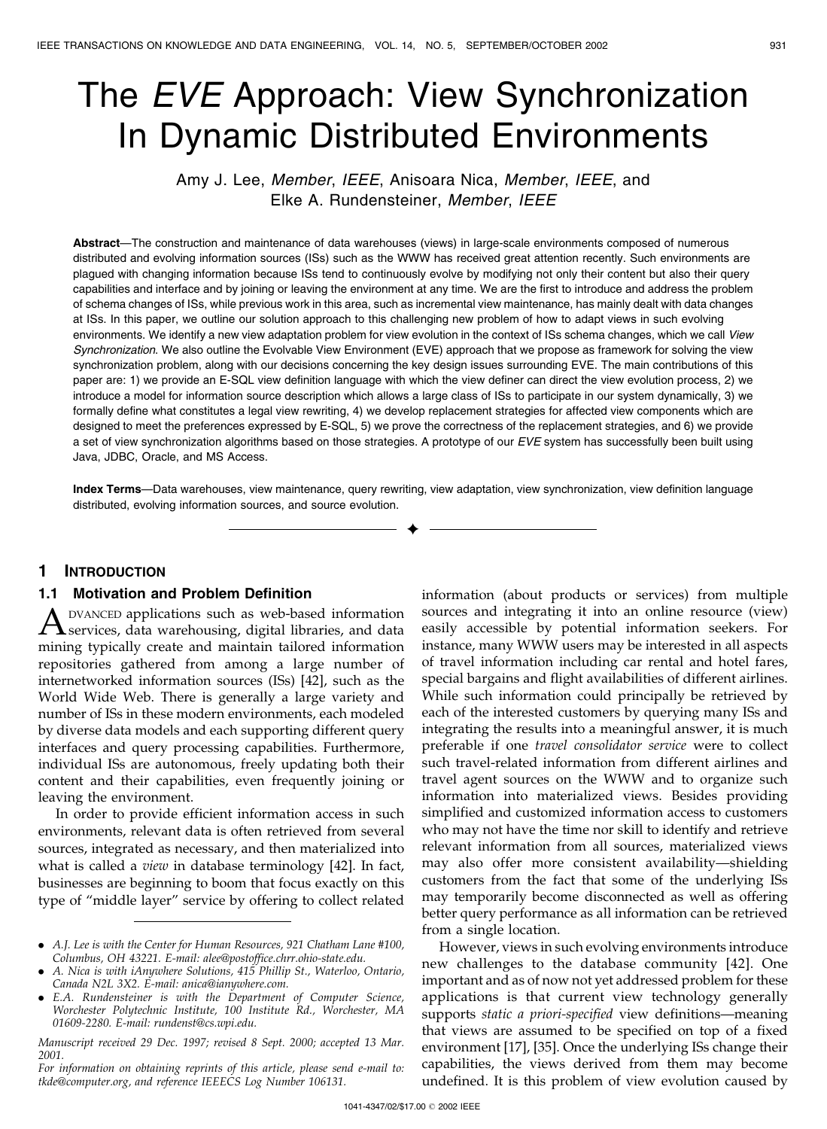# The EVE Approach: View Synchronization In Dynamic Distributed Environments

Amy J. Lee, Member, IEEE, Anisoara Nica, Member, IEEE, and Elke A. Rundensteiner, Member, IEEE

Abstract—The construction and maintenance of data warehouses (views) in large-scale environments composed of numerous distributed and evolving information sources (ISs) such as the WWW has received great attention recently. Such environments are plagued with changing information because ISs tend to continuously evolve by modifying not only their content but also their query capabilities and interface and by joining or leaving the environment at any time. We are the first to introduce and address the problem of schema changes of ISs, while previous work in this area, such as incremental view maintenance, has mainly dealt with data changes at ISs. In this paper, we outline our solution approach to this challenging new problem of how to adapt views in such evolving environments. We identify a new view adaptation problem for view evolution in the context of ISs schema changes, which we call View Synchronization. We also outline the Evolvable View Environment (EVE) approach that we propose as framework for solving the view synchronization problem, along with our decisions concerning the key design issues surrounding EVE. The main contributions of this paper are: 1) we provide an E-SQL view definition language with which the view definer can direct the view evolution process, 2) we introduce a model for information source description which allows a large class of ISs to participate in our system dynamically, 3) we formally define what constitutes a legal view rewriting, 4) we develop replacement strategies for affected view components which are designed to meet the preferences expressed by E-SQL, 5) we prove the correctness of the replacement strategies, and 6) we provide a set of view synchronization algorithms based on those strategies. A prototype of our EVE system has successfully been built using Java, JDBC, Oracle, and MS Access.

Index Terms—Data warehouses, view maintenance, query rewriting, view adaptation, view synchronization, view definition language distributed, evolving information sources, and source evolution.

 $\ddotmark$ 

### 1 INTRODUCTION

### 1.1 Motivation and Problem Definition

A DVANCED applications such as web-based information<br>services, data warehousing, digital libraries, and data mining typically create and maintain tailored information repositories gathered from among a large number of internetworked information sources (ISs) [42], such as the World Wide Web. There is generally a large variety and number of ISs in these modern environments, each modeled by diverse data models and each supporting different query interfaces and query processing capabilities. Furthermore, individual ISs are autonomous, freely updating both their content and their capabilities, even frequently joining or leaving the environment.

In order to provide efficient information access in such environments, relevant data is often retrieved from several sources, integrated as necessary, and then materialized into what is called a view in database terminology [42]. In fact, businesses are beginning to boom that focus exactly on this type of "middle layer" service by offering to collect related

- . A. Nica is with iAnywhere Solutions, 415 Phillip St., Waterloo, Ontario, Canada N2L 3X2. E-mail: anica@ianywhere.com.
- . E.A. Rundensteiner is with the Department of Computer Science, Worchester Polytechnic Institute, 100 Institute Rd., Worchester, MA 01609-2280. E-mail: rundenst@cs.wpi.edu.

Manuscript received 29 Dec. 1997; revised 8 Sept. 2000; accepted 13 Mar. 2001.

information (about products or services) from multiple sources and integrating it into an online resource (view) easily accessible by potential information seekers. For instance, many WWW users may be interested in all aspects of travel information including car rental and hotel fares, special bargains and flight availabilities of different airlines. While such information could principally be retrieved by each of the interested customers by querying many ISs and integrating the results into a meaningful answer, it is much preferable if one travel consolidator service were to collect such travel-related information from different airlines and travel agent sources on the WWW and to organize such information into materialized views. Besides providing simplified and customized information access to customers who may not have the time nor skill to identify and retrieve relevant information from all sources, materialized views may also offer more consistent availability—shielding customers from the fact that some of the underlying ISs may temporarily become disconnected as well as offering better query performance as all information can be retrieved from a single location.

However, views in such evolving environments introduce new challenges to the database community [42]. One important and as of now not yet addressed problem for these applications is that current view technology generally supports static a priori-specified view definitions—meaning that views are assumed to be specified on top of a fixed environment [17], [35]. Once the underlying ISs change their capabilities, the views derived from them may become undefined. It is this problem of view evolution caused by

<sup>.</sup> A.J. Lee is with the Center for Human Resources, 921 Chatham Lane #100, Columbus, OH 43221. E-mail: alee@postoffice.chrr.ohio-state.edu.

For information on obtaining reprints of this article, please send e-mail to: tkde@computer.org, and reference IEEECS Log Number 106131.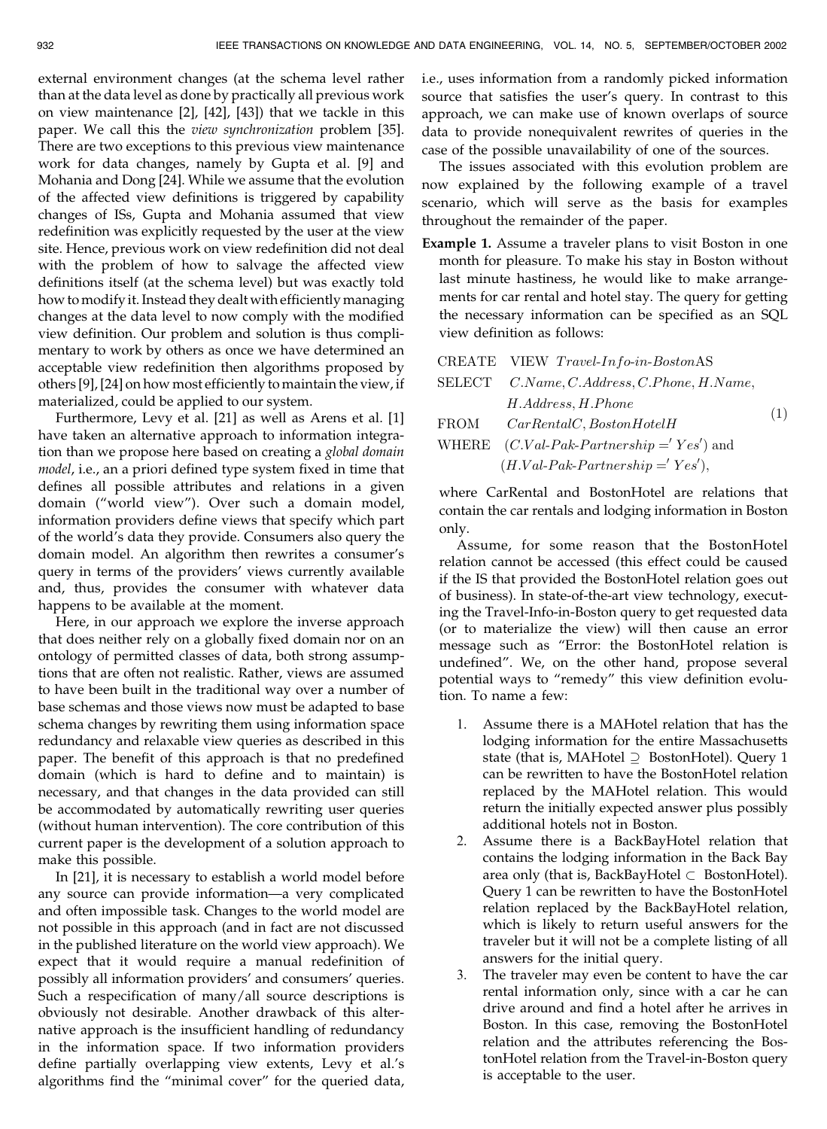external environment changes (at the schema level rather than at the data level as done by practically all previous work on view maintenance [2], [42], [43]) that we tackle in this paper. We call this the view synchronization problem [35]. There are two exceptions to this previous view maintenance work for data changes, namely by Gupta et al. [9] and Mohania and Dong [24]. While we assume that the evolution of the affected view definitions is triggered by capability changes of ISs, Gupta and Mohania assumed that view redefinition was explicitly requested by the user at the view site. Hence, previous work on view redefinition did not deal with the problem of how to salvage the affected view definitions itself (at the schema level) but was exactly told how to modify it. Instead they dealt with efficiently managing changes at the data level to now comply with the modified view definition. Our problem and solution is thus complimentary to work by others as once we have determined an acceptable view redefinition then algorithms proposed by others [9], [24] on how most efficiently to maintain the view, if materialized, could be applied to our system.

Furthermore, Levy et al. [21] as well as Arens et al. [1] have taken an alternative approach to information integration than we propose here based on creating a global domain model, i.e., an a priori defined type system fixed in time that defines all possible attributes and relations in a given domain ("world view"). Over such a domain model, information providers define views that specify which part of the world's data they provide. Consumers also query the domain model. An algorithm then rewrites a consumer's query in terms of the providers' views currently available and, thus, provides the consumer with whatever data happens to be available at the moment.

Here, in our approach we explore the inverse approach that does neither rely on a globally fixed domain nor on an ontology of permitted classes of data, both strong assumptions that are often not realistic. Rather, views are assumed to have been built in the traditional way over a number of base schemas and those views now must be adapted to base schema changes by rewriting them using information space redundancy and relaxable view queries as described in this paper. The benefit of this approach is that no predefined domain (which is hard to define and to maintain) is necessary, and that changes in the data provided can still be accommodated by automatically rewriting user queries (without human intervention). The core contribution of this current paper is the development of a solution approach to make this possible.

In [21], it is necessary to establish a world model before any source can provide information—a very complicated and often impossible task. Changes to the world model are not possible in this approach (and in fact are not discussed in the published literature on the world view approach). We expect that it would require a manual redefinition of possibly all information providers' and consumers' queries. Such a respecification of many/all source descriptions is obviously not desirable. Another drawback of this alternative approach is the insufficient handling of redundancy in the information space. If two information providers define partially overlapping view extents, Levy et al.'s algorithms find the "minimal cover" for the queried data, i.e., uses information from a randomly picked information source that satisfies the user's query. In contrast to this approach, we can make use of known overlaps of source data to provide nonequivalent rewrites of queries in the case of the possible unavailability of one of the sources.

The issues associated with this evolution problem are now explained by the following example of a travel scenario, which will serve as the basis for examples throughout the remainder of the paper.

Example 1. Assume a traveler plans to visit Boston in one month for pleasure. To make his stay in Boston without last minute hastiness, he would like to make arrangements for car rental and hotel stay. The query for getting the necessary information can be specified as an SQL view definition as follows:

|      | CREATE VIEW Travel-Info-in-BostonAS         |     |
|------|---------------------------------------------|-----|
|      | SELECT C.Name, C.Address, C.Phone, H.Name,  |     |
|      | H.Address, H.Phone                          |     |
| FROM | CarRentalC, Boston HotelH                   | (1) |
|      | WHERE $(C.Val-Pak-Partnership = 'Yes')$ and |     |
|      | $(H.Val-Pak-Partnership = 'Yes'),$          |     |

where CarRental and BostonHotel are relations that contain the car rentals and lodging information in Boston only.

Assume, for some reason that the BostonHotel relation cannot be accessed (this effect could be caused if the IS that provided the BostonHotel relation goes out of business). In state-of-the-art view technology, executing the Travel-Info-in-Boston query to get requested data (or to materialize the view) will then cause an error message such as "Error: the BostonHotel relation is undefined". We, on the other hand, propose several potential ways to "remedy" this view definition evolution. To name a few:

- 1. Assume there is a MAHotel relation that has the lodging information for the entire Massachusetts state (that is, MAHotel  $\supseteq$  BostonHotel). Query 1 can be rewritten to have the BostonHotel relation replaced by the MAHotel relation. This would return the initially expected answer plus possibly additional hotels not in Boston.
- 2. Assume there is a BackBayHotel relation that contains the lodging information in the Back Bay area only (that is, BackBayHotel  $\subset$  BostonHotel). Query 1 can be rewritten to have the BostonHotel relation replaced by the BackBayHotel relation, which is likely to return useful answers for the traveler but it will not be a complete listing of all answers for the initial query.
- 3. The traveler may even be content to have the car rental information only, since with a car he can drive around and find a hotel after he arrives in Boston. In this case, removing the BostonHotel relation and the attributes referencing the BostonHotel relation from the Travel-in-Boston query is acceptable to the user.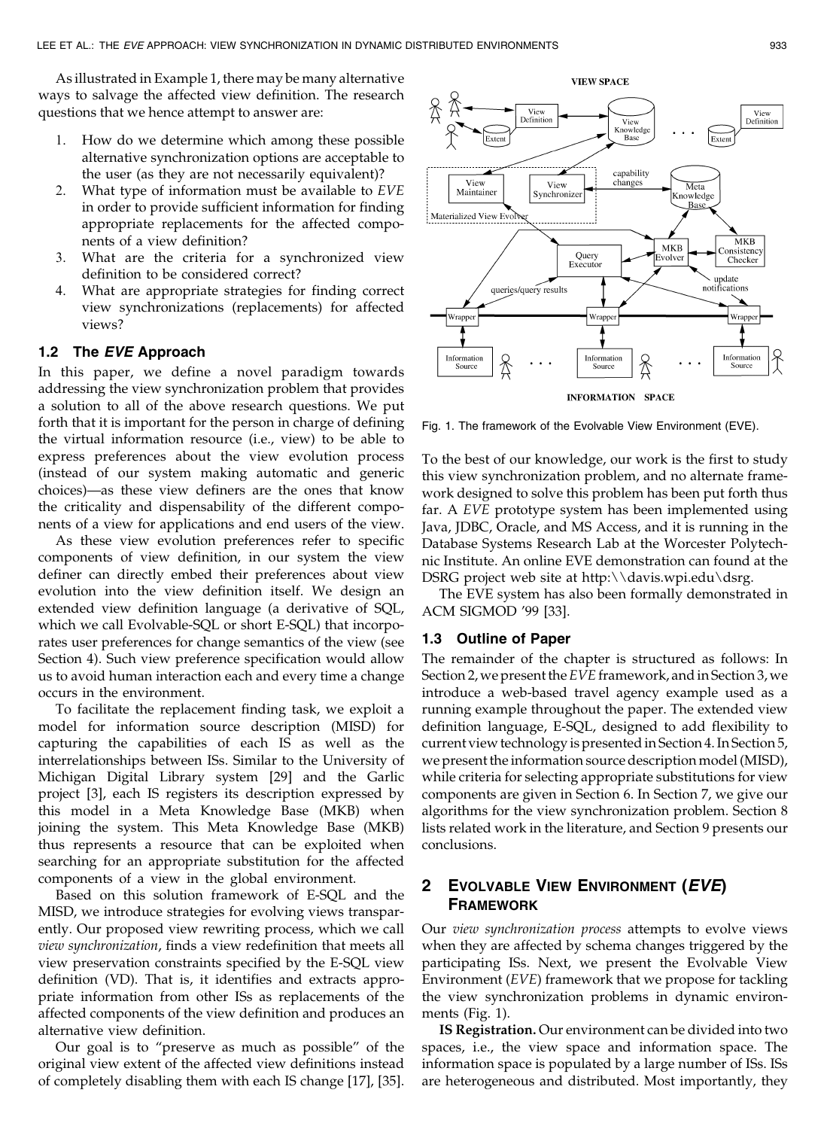As illustrated in Example 1, there may be many alternative ways to salvage the affected view definition. The research questions that we hence attempt to answer are:

- 1. How do we determine which among these possible alternative synchronization options are acceptable to the user (as they are not necessarily equivalent)?
- 2. What type of information must be available to EVE in order to provide sufficient information for finding appropriate replacements for the affected components of a view definition?
- 3. What are the criteria for a synchronized view definition to be considered correct?
- 4. What are appropriate strategies for finding correct view synchronizations (replacements) for affected views?

### 1.2 The EVE Approach

In this paper, we define a novel paradigm towards addressing the view synchronization problem that provides a solution to all of the above research questions. We put forth that it is important for the person in charge of defining the virtual information resource (i.e., view) to be able to express preferences about the view evolution process (instead of our system making automatic and generic choices)—as these view definers are the ones that know the criticality and dispensability of the different components of a view for applications and end users of the view.

As these view evolution preferences refer to specific components of view definition, in our system the view definer can directly embed their preferences about view evolution into the view definition itself. We design an extended view definition language (a derivative of SQL, which we call Evolvable-SQL or short E-SQL) that incorporates user preferences for change semantics of the view (see Section 4). Such view preference specification would allow us to avoid human interaction each and every time a change occurs in the environment.

To facilitate the replacement finding task, we exploit a model for information source description (MISD) for capturing the capabilities of each IS as well as the interrelationships between ISs. Similar to the University of Michigan Digital Library system [29] and the Garlic project [3], each IS registers its description expressed by this model in a Meta Knowledge Base (MKB) when joining the system. This Meta Knowledge Base (MKB) thus represents a resource that can be exploited when searching for an appropriate substitution for the affected components of a view in the global environment.

Based on this solution framework of E-SQL and the MISD, we introduce strategies for evolving views transparently. Our proposed view rewriting process, which we call view synchronization, finds a view redefinition that meets all view preservation constraints specified by the E-SQL view definition (VD). That is, it identifies and extracts appropriate information from other ISs as replacements of the affected components of the view definition and produces an alternative view definition.

Our goal is to "preserve as much as possible" of the original view extent of the affected view definitions instead of completely disabling them with each IS change [17], [35].



Fig. 1. The framework of the Evolvable View Environment (EVE).

To the best of our knowledge, our work is the first to study this view synchronization problem, and no alternate framework designed to solve this problem has been put forth thus far. A EVE prototype system has been implemented using Java, JDBC, Oracle, and MS Access, and it is running in the Database Systems Research Lab at the Worcester Polytechnic Institute. An online EVE demonstration can found at the DSRG project web site at http:\\davis.wpi.edu\dsrg.

The EVE system has also been formally demonstrated in ACM SIGMOD '99 [33].

#### 1.3 Outline of Paper

The remainder of the chapter is structured as follows: In Section 2, we present the EVE framework, and in Section 3, we introduce a web-based travel agency example used as a running example throughout the paper. The extended view definition language, E-SQL, designed to add flexibility to current view technology is presented in Section 4. In Section 5, we present the information source description model (MISD), while criteria for selecting appropriate substitutions for view components are given in Section 6. In Section 7, we give our algorithms for the view synchronization problem. Section 8 lists related work in the literature, and Section 9 presents our conclusions.

# 2 EVOLVABLE VIEW ENVIRONMENT (EVE) FRAMEWORK

Our view synchronization process attempts to evolve views when they are affected by schema changes triggered by the participating ISs. Next, we present the Evolvable View Environment (EVE) framework that we propose for tackling the view synchronization problems in dynamic environments (Fig. 1).

IS Registration. Our environment can be divided into two spaces, i.e., the view space and information space. The information space is populated by a large number of ISs. ISs are heterogeneous and distributed. Most importantly, they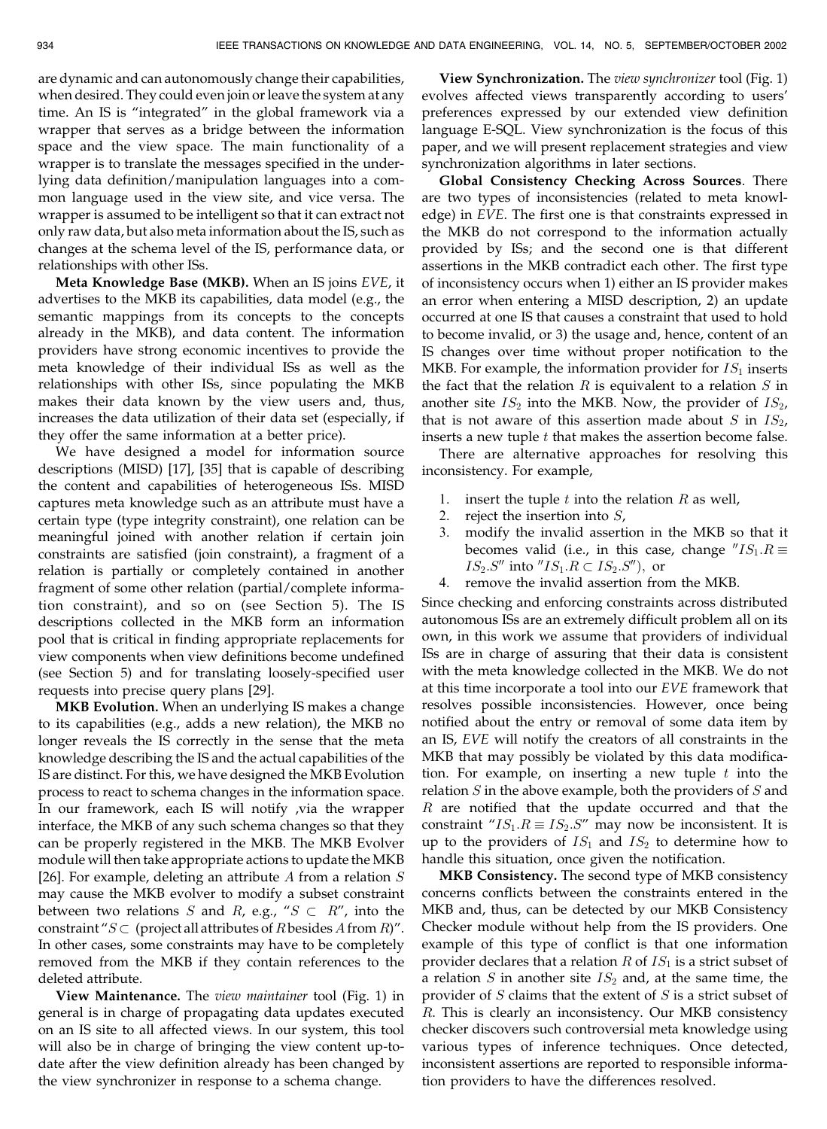are dynamic and can autonomously change their capabilities, when desired. They could even join or leave the system at any time. An IS is "integrated" in the global framework via a wrapper that serves as a bridge between the information space and the view space. The main functionality of a wrapper is to translate the messages specified in the underlying data definition/manipulation languages into a common language used in the view site, and vice versa. The wrapper is assumed to be intelligent so that it can extract not only raw data, but also meta information about the IS, such as changes at the schema level of the IS, performance data, or relationships with other ISs.

Meta Knowledge Base (MKB). When an IS joins EVE, it advertises to the MKB its capabilities, data model (e.g., the semantic mappings from its concepts to the concepts already in the MKB), and data content. The information providers have strong economic incentives to provide the meta knowledge of their individual ISs as well as the relationships with other ISs, since populating the MKB makes their data known by the view users and, thus, increases the data utilization of their data set (especially, if they offer the same information at a better price).

We have designed a model for information source descriptions (MISD) [17], [35] that is capable of describing the content and capabilities of heterogeneous ISs. MISD captures meta knowledge such as an attribute must have a certain type (type integrity constraint), one relation can be meaningful joined with another relation if certain join constraints are satisfied (join constraint), a fragment of a relation is partially or completely contained in another fragment of some other relation (partial/complete information constraint), and so on (see Section 5). The IS descriptions collected in the MKB form an information pool that is critical in finding appropriate replacements for view components when view definitions become undefined (see Section 5) and for translating loosely-specified user requests into precise query plans [29].

MKB Evolution. When an underlying IS makes a change to its capabilities (e.g., adds a new relation), the MKB no longer reveals the IS correctly in the sense that the meta knowledge describing the IS and the actual capabilities of the IS are distinct. For this, we have designed the MKB Evolution process to react to schema changes in the information space. In our framework, each IS will notify ,via the wrapper interface, the MKB of any such schema changes so that they can be properly registered in the MKB. The MKB Evolver module will then take appropriate actions to update the MKB [26]. For example, deleting an attribute  $A$  from a relation  $S$ may cause the MKB evolver to modify a subset constraint between two relations S and R, e.g., " $S \subset R$ ", into the constraint " $S \subset$  (project all attributes of R besides A from R)". In other cases, some constraints may have to be completely removed from the MKB if they contain references to the deleted attribute.

View Maintenance. The view maintainer tool (Fig. 1) in general is in charge of propagating data updates executed on an IS site to all affected views. In our system, this tool will also be in charge of bringing the view content up-todate after the view definition already has been changed by the view synchronizer in response to a schema change.

View Synchronization. The view synchronizer tool (Fig. 1) evolves affected views transparently according to users' preferences expressed by our extended view definition language E-SQL. View synchronization is the focus of this paper, and we will present replacement strategies and view synchronization algorithms in later sections.

Global Consistency Checking Across Sources. There are two types of inconsistencies (related to meta knowledge) in EVE. The first one is that constraints expressed in the MKB do not correspond to the information actually provided by ISs; and the second one is that different assertions in the MKB contradict each other. The first type of inconsistency occurs when 1) either an IS provider makes an error when entering a MISD description, 2) an update occurred at one IS that causes a constraint that used to hold to become invalid, or 3) the usage and, hence, content of an IS changes over time without proper notification to the MKB. For example, the information provider for  $IS_1$  inserts the fact that the relation  $R$  is equivalent to a relation  $S$  in another site  $IS_2$  into the MKB. Now, the provider of  $IS_2$ , that is not aware of this assertion made about S in  $IS_2$ , inserts a new tuple  $t$  that makes the assertion become false.

There are alternative approaches for resolving this inconsistency. For example,

- 1. insert the tuple  $t$  into the relation  $R$  as well,
- 2. reject the insertion into  $S$ ,
- 3. modify the invalid assertion in the MKB so that it becomes valid (i.e., in this case, change  $''IS_1.R \equiv$  $IS_2.S''$  into  $''IS_1.R \subset IS_2.S''$ ), or
- 4. remove the invalid assertion from the MKB.

Since checking and enforcing constraints across distributed autonomous ISs are an extremely difficult problem all on its own, in this work we assume that providers of individual ISs are in charge of assuring that their data is consistent with the meta knowledge collected in the MKB. We do not at this time incorporate a tool into our EVE framework that resolves possible inconsistencies. However, once being notified about the entry or removal of some data item by an IS, EVE will notify the creators of all constraints in the MKB that may possibly be violated by this data modification. For example, on inserting a new tuple  $t$  into the relation  $S$  in the above example, both the providers of  $S$  and  $R$  are notified that the update occurred and that the constraint " $IS_1:R \equiv IS_2: S$ " may now be inconsistent. It is up to the providers of  $IS_1$  and  $IS_2$  to determine how to handle this situation, once given the notification.

MKB Consistency. The second type of MKB consistency concerns conflicts between the constraints entered in the MKB and, thus, can be detected by our MKB Consistency Checker module without help from the IS providers. One example of this type of conflict is that one information provider declares that a relation  $R$  of  $IS<sub>1</sub>$  is a strict subset of a relation  $S$  in another site  $IS_2$  and, at the same time, the provider of  $S$  claims that the extent of  $S$  is a strict subset of R. This is clearly an inconsistency. Our MKB consistency checker discovers such controversial meta knowledge using various types of inference techniques. Once detected, inconsistent assertions are reported to responsible information providers to have the differences resolved.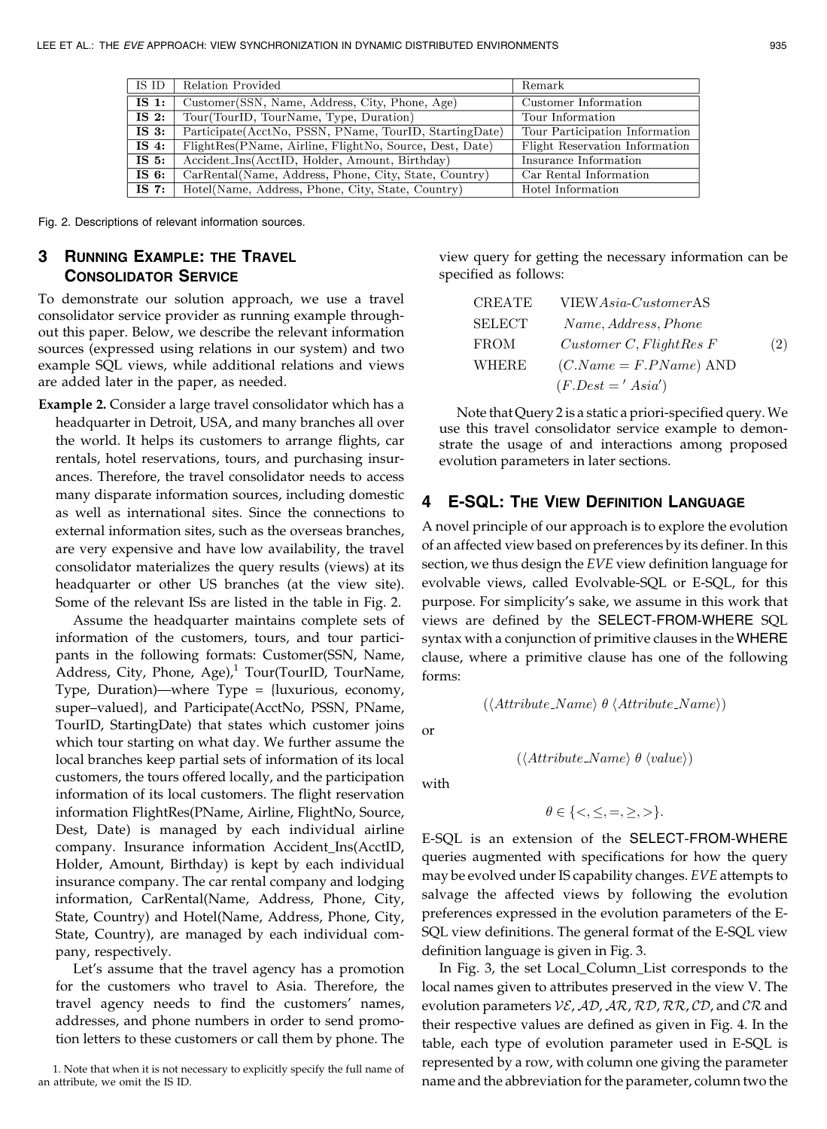| IS ID             | Relation Provided                                       | Remark                         |
|-------------------|---------------------------------------------------------|--------------------------------|
| IS 1:             | Customer(SSN, Name, Address, City, Phone, Age)          | Customer Information           |
| IS <sub>2</sub> : | Tour(TourID, TourName, Type, Duration)                  | Tour Information               |
| IS <sub>3</sub> : | Participate (AcctNo, PSSN, PName, TourID, StartingDate) | Tour Participation Information |
| IS $4:$           | FlightRes(PName, Airline, FlightNo, Source, Dest, Date) | Flight Reservation Information |
| IS 5:             | Accident_Ins(AcctID, Holder, Amount, Birthday)          | Insurance Information          |
| IS $6:$           | CarRental(Name, Address, Phone, City, State, Country)   | Car Rental Information         |
| IS 7:             | Hotel(Name, Address, Phone, City, State, Country)       | Hotel Information              |

Fig. 2. Descriptions of relevant information sources.

# 3 RUNNING EXAMPLE: THE TRAVEL CONSOLIDATOR SERVICE

To demonstrate our solution approach, we use a travel consolidator service provider as running example throughout this paper. Below, we describe the relevant information sources (expressed using relations in our system) and two example SQL views, while additional relations and views are added later in the paper, as needed.

Example 2. Consider a large travel consolidator which has a headquarter in Detroit, USA, and many branches all over the world. It helps its customers to arrange flights, car rentals, hotel reservations, tours, and purchasing insurances. Therefore, the travel consolidator needs to access many disparate information sources, including domestic as well as international sites. Since the connections to external information sites, such as the overseas branches, are very expensive and have low availability, the travel consolidator materializes the query results (views) at its headquarter or other US branches (at the view site). Some of the relevant ISs are listed in the table in Fig. 2.

Assume the headquarter maintains complete sets of information of the customers, tours, and tour participants in the following formats: Customer(SSN, Name, Address, City, Phone, Age), $1$  Tour(TourID, TourName, Type, Duration)—where Type = {luxurious, economy, super–valued}, and Participate(AcctNo, PSSN, PName, TourID, StartingDate) that states which customer joins which tour starting on what day. We further assume the local branches keep partial sets of information of its local customers, the tours offered locally, and the participation information of its local customers. The flight reservation information FlightRes(PName, Airline, FlightNo, Source, Dest, Date) is managed by each individual airline company. Insurance information Accident\_Ins(AcctID, Holder, Amount, Birthday) is kept by each individual insurance company. The car rental company and lodging information, CarRental(Name, Address, Phone, City, State, Country) and Hotel(Name, Address, Phone, City, State, Country), are managed by each individual company, respectively.

Let's assume that the travel agency has a promotion for the customers who travel to Asia. Therefore, the travel agency needs to find the customers' names, addresses, and phone numbers in order to send promotion letters to these customers or call them by phone. The

1. Note that when it is not necessary to explicitly specify the full name of an attribute, we omit the IS ID.

view query for getting the necessary information can be specified as follows:

| <b>CREATE</b> | VIEWAsia-CustomerAS         |     |
|---------------|-----------------------------|-----|
| <b>SELECT</b> | Name, Address, Phone        |     |
| <b>FROM</b>   | $Customer\ C. FlightRes\ F$ | (2) |
| WHERE         | $(C.Name = F.PName) AND$    |     |
|               | $(F.Dest = 'Asia')$         |     |

Note that Query 2 is a static a priori-specified query. We use this travel consolidator service example to demonstrate the usage of and interactions among proposed evolution parameters in later sections.

### 4 E-SQL: THE VIEW DEFINITION LANGUAGE

A novel principle of our approach is to explore the evolution of an affected view based on preferences by its definer. In this section, we thus design the EVE view definition language for evolvable views, called Evolvable-SQL or E-SQL, for this purpose. For simplicity's sake, we assume in this work that views are defined by the SELECT-FROM-WHERE SQL syntax with a conjunction of primitive clauses in the WHERE clause, where a primitive clause has one of the following forms:

or

$$
(\langle Attribute\_Name \rangle \theta \langle value \rangle)
$$

 $(\langle Attribute\_Name \rangle \theta \langle Attribute\_Name \rangle)$ 

with

$$
\theta \in \{<,\leq,=,\geq,>\}.
$$

E-SQL is an extension of the SELECT-FROM-WHERE queries augmented with specifications for how the query may be evolved under IS capability changes. EVE attempts to salvage the affected views by following the evolution preferences expressed in the evolution parameters of the E-SQL view definitions. The general format of the E-SQL view definition language is given in Fig. 3.

In Fig. 3, the set Local\_Column\_List corresponds to the local names given to attributes preserved in the view V. The evolution parameters  $VE$ ,  $AD$ ,  $AR$ ,  $RD$ ,  $RR$ ,  $CD$ , and  $CR$  and their respective values are defined as given in Fig. 4. In the table, each type of evolution parameter used in E-SQL is represented by a row, with column one giving the parameter name and the abbreviation for the parameter, column two the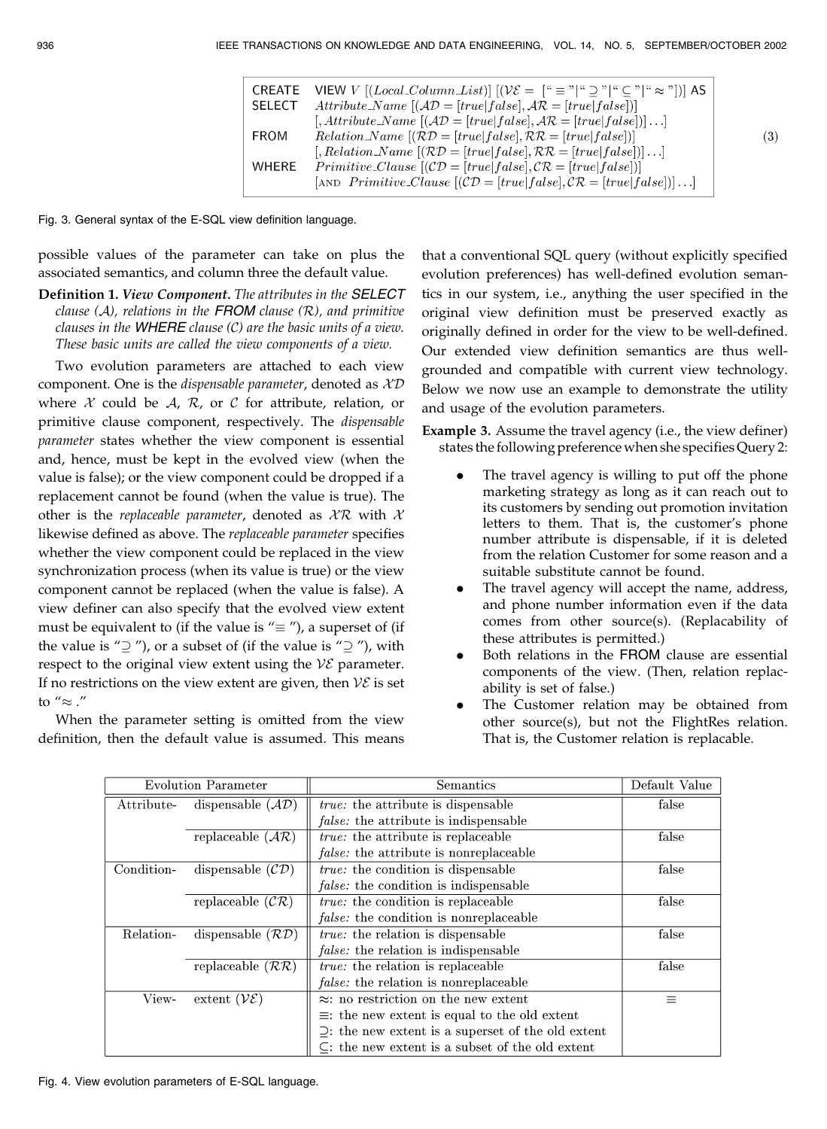Fig. 3. General syntax of the E-SQL view definition language.

possible values of the parameter can take on plus the associated semantics, and column three the default value.

Definition 1. View Component. The attributes in the SELECT clause  $(A)$ , relations in the FROM clause  $(R)$ , and primitive clauses in the WHERE clause  $(C)$  are the basic units of a view. These basic units are called the view components of a view.

Two evolution parameters are attached to each view component. One is the dispensable parameter, denoted as  $XD$ where  $X$  could be  $A$ ,  $R$ , or  $C$  for attribute, relation, or primitive clause component, respectively. The dispensable parameter states whether the view component is essential and, hence, must be kept in the evolved view (when the value is false); or the view component could be dropped if a replacement cannot be found (when the value is true). The other is the replaceable parameter, denoted as  $X\mathcal{R}$  with X likewise defined as above. The replaceable parameter specifies whether the view component could be replaced in the view synchronization process (when its value is true) or the view component cannot be replaced (when the value is false). A view definer can also specify that the evolved view extent must be equivalent to (if the value is " $\equiv$ "), a superset of (if the value is " $\supseteq$ "), or a subset of (if the value is " $\supseteq$ "), with respect to the original view extent using the  $V\mathcal{E}$  parameter. If no restrictions on the view extent are given, then  $\mathcal{VE}$  is set to " $\approx$  ."

When the parameter setting is omitted from the view definition, then the default value is assumed. This means that a conventional SQL query (without explicitly specified evolution preferences) has well-defined evolution semantics in our system, i.e., anything the user specified in the original view definition must be preserved exactly as originally defined in order for the view to be well-defined. Our extended view definition semantics are thus wellgrounded and compatible with current view technology. Below we now use an example to demonstrate the utility and usage of the evolution parameters.

Example 3. Assume the travel agency (i.e., the view definer) states the following preference when she specifies Query 2:

- The travel agency is willing to put off the phone marketing strategy as long as it can reach out to its customers by sending out promotion invitation letters to them. That is, the customer's phone number attribute is dispensable, if it is deleted from the relation Customer for some reason and a suitable substitute cannot be found.
- The travel agency will accept the name, address, and phone number information even if the data comes from other source(s). (Replacability of these attributes is permitted.)
- . Both relations in the FROM clause are essential components of the view. (Then, relation replacability is set of false.)
- The Customer relation may be obtained from other source(s), but not the FlightRes relation. That is, the Customer relation is replacable.

| <b>Evolution Parameter</b> |                              | Semantics                                                    | Default Value |
|----------------------------|------------------------------|--------------------------------------------------------------|---------------|
| Attribute-                 | dispensable $(\mathcal{AD})$ | <i>true:</i> the attribute is dispensable                    | false         |
|                            |                              | <i>false:</i> the attribute is indispensable                 |               |
|                            | replaceable $(\mathcal{AR})$ | <i>true:</i> the attribute is replaceable                    | false         |
|                            |                              | <i>false:</i> the attribute is nonreplaceable                |               |
| Condition-                 | dispensable $(\mathcal{CD})$ | <i>true:</i> the condition is dispensable                    | false         |
|                            |                              | <i>false:</i> the condition is indispensable                 |               |
|                            | replaceable $(\mathcal{CR})$ | <i>true:</i> the condition is replaceable                    | false         |
|                            |                              | <i>false:</i> the condition is nonreplaceable                |               |
| Relation-                  | dispensable $(\mathcal{RD})$ | $true$ : the relation is dispensable                         | false         |
|                            |                              | <i>false:</i> the relation is indispensable                  |               |
|                            | replaceable $(\mathcal{RR})$ | <i>true:</i> the relation is replaceable                     | false         |
|                            |                              | <i>false:</i> the relation is nonreplaceable                 |               |
| View-                      | extent $(\mathcal{VE})$      | $\approx$ : no restriction on the new extent                 | $\equiv$      |
|                            |                              | $\equiv$ : the new extent is equal to the old extent         |               |
|                            |                              | $\supseteq$ : the new extent is a superset of the old extent |               |
|                            |                              | $\subset$ : the new extent is a subset of the old extent     |               |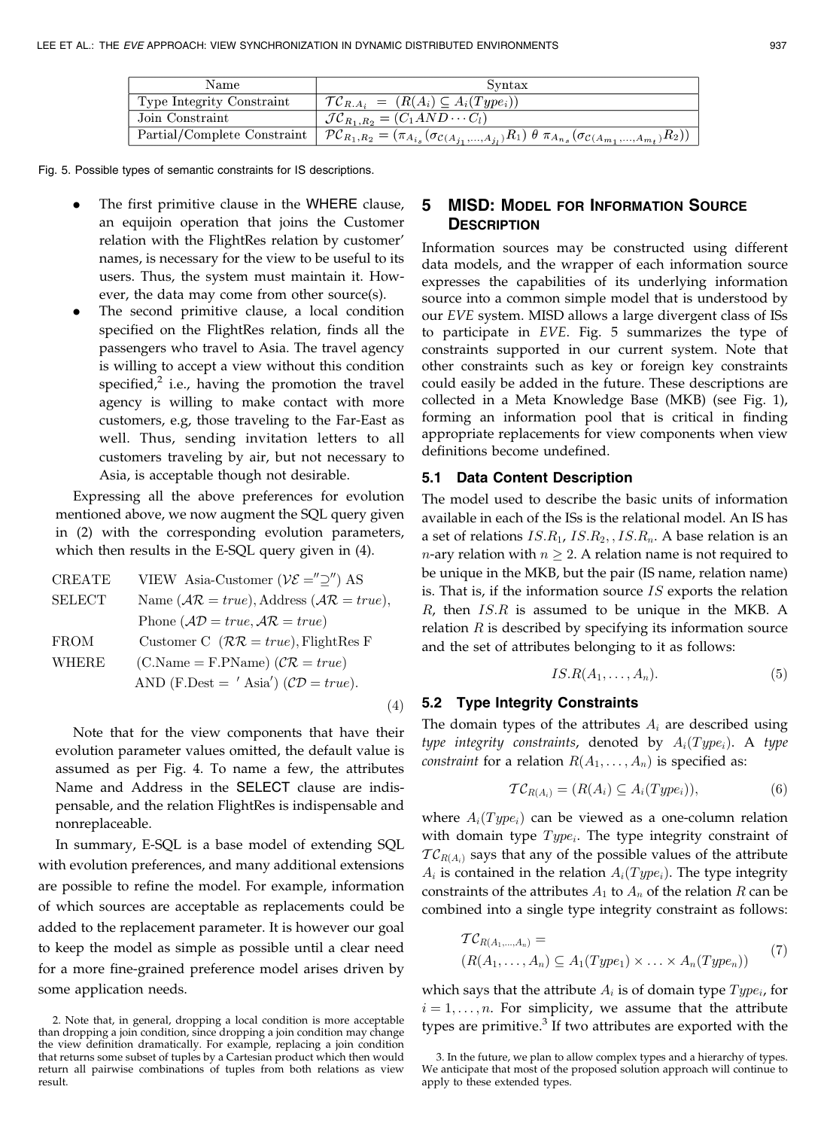| Name                        | Syntax                                                                                                                                                               |
|-----------------------------|----------------------------------------------------------------------------------------------------------------------------------------------------------------------|
| Type Integrity Constraint   | $\mathcal{TC}_{R.A_i} = (R(A_i) \subseteq A_i(Type_i))$                                                                                                              |
| Join Constraint             | $\mathcal{J}\mathcal{C}_{R_1,R_2} = (C_1AND\cdots C_l)$                                                                                                              |
| Partial/Complete Constraint | $\left( \mathcal{PC}_{R_1,R_2} = (\pi_{A_{i_s}}(\sigma_{\mathcal{C}(A_{j_1},,A_{j_l})}R_1) \theta \pi_{A_{n_s}}(\sigma_{\mathcal{C}(A_{m_1},,A_{m_t})}R_2)) \right)$ |

Fig. 5. Possible types of semantic constraints for IS descriptions.

- . The first primitive clause in the WHERE clause, an equijoin operation that joins the Customer relation with the FlightRes relation by customer' names, is necessary for the view to be useful to its users. Thus, the system must maintain it. However, the data may come from other source(s).
- . The second primitive clause, a local condition specified on the FlightRes relation, finds all the passengers who travel to Asia. The travel agency is willing to accept a view without this condition specified, $\lambda^2$  i.e., having the promotion the travel agency is willing to make contact with more customers, e.g, those traveling to the Far-East as well. Thus, sending invitation letters to all customers traveling by air, but not necessary to Asia, is acceptable though not desirable.

Expressing all the above preferences for evolution mentioned above, we now augment the SQL query given in (2) with the corresponding evolution parameters, which then results in the E-SQL query given in (4).

| CREATE                  | VIEW Asia-Customer ( $V\mathcal{E} = \mathbb{Z}^n$ ) AS          |
|-------------------------|------------------------------------------------------------------|
| $\operatorname{SELECT}$ | Name $(\mathcal{AR} = true)$ , Address $(\mathcal{AR} = true)$ , |
|                         | Phone $(\mathcal{AD} = true, \mathcal{AR} = true)$               |
| $_{\rm FROM}$           | Customer C $(RR = true)$ , FlightRes F                           |
| WHERE                   | $(C.Name = F.PName) (CR = true)$                                 |
|                         | AND (F.Dest = 'Asia') $(\mathcal{CD} = true)$ .                  |
|                         |                                                                  |

 $(4)$ 

Note that for the view components that have their evolution parameter values omitted, the default value is assumed as per Fig. 4. To name a few, the attributes Name and Address in the SELECT clause are indispensable, and the relation FlightRes is indispensable and nonreplaceable.

In summary, E-SQL is a base model of extending SQL with evolution preferences, and many additional extensions are possible to refine the model. For example, information of which sources are acceptable as replacements could be added to the replacement parameter. It is however our goal to keep the model as simple as possible until a clear need for a more fine-grained preference model arises driven by some application needs.

# 5 MISD: MODEL FOR INFORMATION SOURCE **DESCRIPTION**

Information sources may be constructed using different data models, and the wrapper of each information source expresses the capabilities of its underlying information source into a common simple model that is understood by our EVE system. MISD allows a large divergent class of ISs to participate in EVE. Fig. 5 summarizes the type of constraints supported in our current system. Note that other constraints such as key or foreign key constraints could easily be added in the future. These descriptions are collected in a Meta Knowledge Base (MKB) (see Fig. 1), forming an information pool that is critical in finding appropriate replacements for view components when view definitions become undefined.

### 5.1 Data Content Description

The model used to describe the basic units of information available in each of the ISs is the relational model. An IS has a set of relations  $IS.R_1$ ,  $IS.R_2$ ,  $IS.R_n$ . A base relation is an *n*-ary relation with  $n \geq 2$ . A relation name is not required to be unique in the MKB, but the pair (IS name, relation name) is. That is, if the information source  $IS$  exports the relation  $R$ , then  $IS.R$  is assumed to be unique in the MKB. A relation  $R$  is described by specifying its information source and the set of attributes belonging to it as follows:

$$
IS.R(A_1, \ldots, A_n). \tag{5}
$$

### 5.2 Type Integrity Constraints

The domain types of the attributes  $A_i$  are described using type integrity constraints, denoted by  $A_i(Type_i)$ . A type *constraint* for a relation  $R(A_1, \ldots, A_n)$  is specified as:

$$
\mathcal{TC}_{R(A_i)} = (R(A_i) \subseteq A_i(Type_i)),\tag{6}
$$

where  $A_i(Type_i)$  can be viewed as a one-column relation with domain type  $Type_i$ . The type integrity constraint of  $TC_{R(A_i)}$  says that any of the possible values of the attribute  $A_i$  is contained in the relation  $A_i(Type_i)$ . The type integrity constraints of the attributes  $A_1$  to  $A_n$  of the relation R can be combined into a single type integrity constraint as follows:

$$
\begin{aligned} TC_{R(A_1,\ldots,A_n)} &= \\ (R(A_1,\ldots,A_n) &\subseteq A_1(Type_1) \times \ldots \times A_n(Type_n)) \end{aligned} \tag{7}
$$

which says that the attribute  $A_i$  is of domain type  $Type_i$ , for  $i = 1, \ldots, n$ . For simplicity, we assume that the attribute types are primitive. $3$  If two attributes are exported with the

<sup>2.</sup> Note that, in general, dropping a local condition is more acceptable than dropping a join condition, since dropping a join condition may change the view definition dramatically. For example, replacing a join condition that returns some subset of tuples by a Cartesian product which then would return all pairwise combinations of tuples from both relations as view result.

<sup>3.</sup> In the future, we plan to allow complex types and a hierarchy of types. We anticipate that most of the proposed solution approach will continue to apply to these extended types.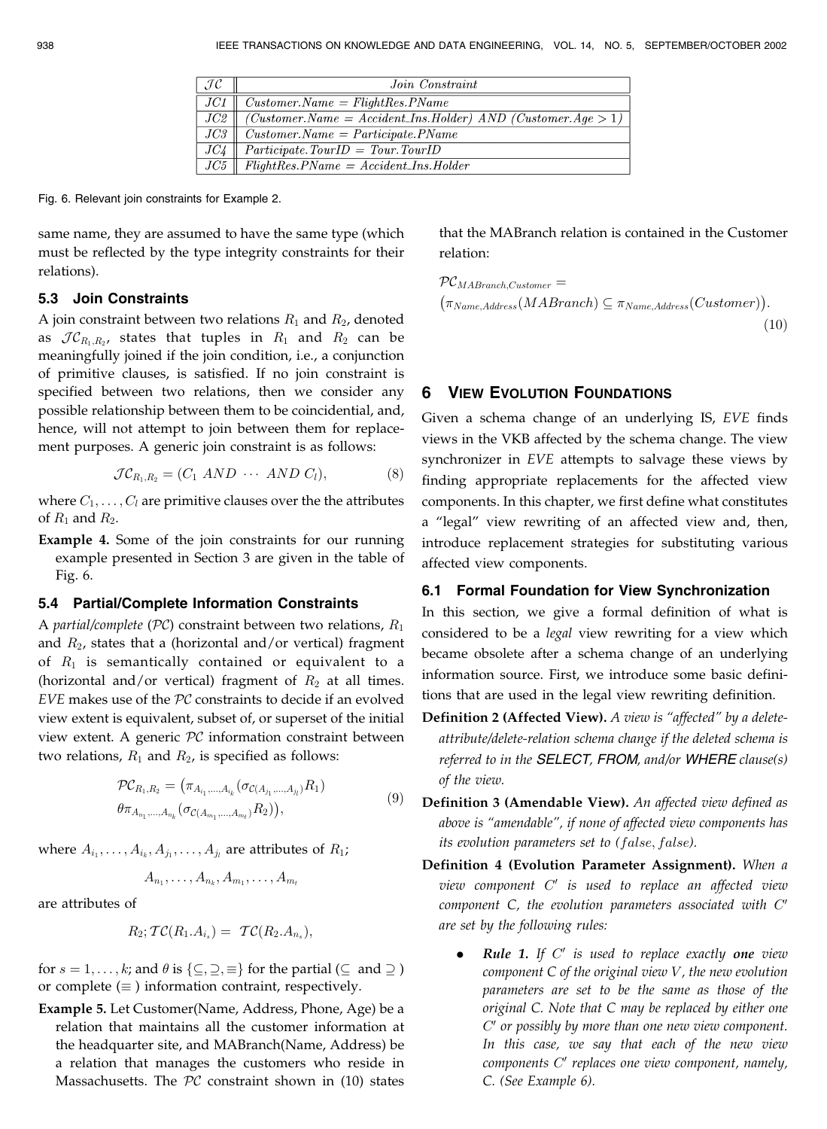| .IC   | Join Constraint                                                               |
|-------|-------------------------------------------------------------------------------|
| JC1   | $CustomerName = FlightRes.PName$                                              |
| $JC2$ | $\overline{(Customer. Name = Accident\_Ins. Holder) AND (Customer. Age > 1)}$ |
| J C3  | $CustomerName = ParticleDate.PName$                                           |
| JC4   | $Participate. TourID = Tour. TourID$                                          |
| JC5   | $FlightRes.PName = Accident\_Ins.Holder$                                      |

Fig. 6. Relevant join constraints for Example 2.

same name, they are assumed to have the same type (which must be reflected by the type integrity constraints for their relations).

### 5.3 Join Constraints

A join constraint between two relations  $R_1$  and  $R_2$ , denoted as  $JC_{R_1,R_2}$ , states that tuples in  $R_1$  and  $R_2$  can be meaningfully joined if the join condition, i.e., a conjunction of primitive clauses, is satisfied. If no join constraint is specified between two relations, then we consider any possible relationship between them to be coincidential, and, hence, will not attempt to join between them for replacement purposes. A generic join constraint is as follows:

$$
\mathcal{J}\mathcal{C}_{R_1,R_2} = (C_1 \text{ AND } \cdots \text{ AND } C_l), \tag{8}
$$

where  $C_1, \ldots, C_l$  are primitive clauses over the the attributes of  $R_1$  and  $R_2$ .

Example 4. Some of the join constraints for our running example presented in Section 3 are given in the table of Fig. 6.

### 5.4 Partial/Complete Information Constraints

A partial/complete (PC) constraint between two relations,  $R_1$ and  $R_2$ , states that a (horizontal and/or vertical) fragment of  $R_1$  is semantically contained or equivalent to a (horizontal and/or vertical) fragment of  $R_2$  at all times. EVE makes use of the  $PC$  constraints to decide if an evolved view extent is equivalent, subset of, or superset of the initial view extent. A generic  $PC$  information constraint between two relations,  $R_1$  and  $R_2$ , is specified as follows:

$$
\mathcal{PC}_{R_1,R_2} = (\pi_{A_{i_1},...,A_{i_k}}(\sigma_{\mathcal{C}(A_{j_1},...,A_{j_l})}R_1) \n\theta \pi_{A_{n_1},...,A_{n_k}}(\sigma_{\mathcal{C}(A_{m_1},...,A_{m_l})}R_2)),
$$
\n(9)

where  $A_{i_1}, \ldots, A_{i_k}, A_{j_1}, \ldots, A_{j_l}$  are attributes of  $R_1$ ;

$$
A_{n_1},\ldots,A_{n_k},A_{m_1},\ldots,A_{m_t}
$$

are attributes of

$$
R_2; \mathcal{TC}(R_1.A_{i_s}) = \mathcal{TC}(R_2.A_{n_s}),
$$

for  $s = 1, ..., k$ ; and  $\theta$  is  $\{\subseteq, \supseteq, \equiv\}$  for the partial ( $\subseteq$  and  $\supseteq$ ) or complete  $(\equiv)$  information contraint, respectively.

Example 5. Let Customer(Name, Address, Phone, Age) be a relation that maintains all the customer information at the headquarter site, and MABranch(Name, Address) be a relation that manages the customers who reside in Massachusetts. The  $PC$  constraint shown in (10) states

that the MABranch relation is contained in the Customer relation:

 $PC_{MABranch.Customer} =$  $(\pi_{Name, Address}(MABranch) \subseteq \pi_{Name,Address}(Customer)).$  $(10)$ 

### 6 VIEW EVOLUTION FOUNDATIONS

Given a schema change of an underlying IS, EVE finds views in the VKB affected by the schema change. The view synchronizer in EVE attempts to salvage these views by finding appropriate replacements for the affected view components. In this chapter, we first define what constitutes a "legal" view rewriting of an affected view and, then, introduce replacement strategies for substituting various affected view components.

# 6.1 Formal Foundation for View Synchronization

In this section, we give a formal definition of what is considered to be a legal view rewriting for a view which became obsolete after a schema change of an underlying information source. First, we introduce some basic definitions that are used in the legal view rewriting definition.

- Definition 2 (Affected View). A view is "affected" by a deleteattribute/delete-relation schema change if the deleted schema is referred to in the SELECT, FROM, and/or WHERE clause(s) of the view.
- Definition 3 (Amendable View). An affected view defined as above is "amendable", if none of affected view components has its evolution parameters set to (false, false).
- Definition 4 (Evolution Parameter Assignment). When a view component  $C'$  is used to replace an affected view component C, the evolution parameters associated with  $C'$ are set by the following rules:
	- $\bullet$  Rule 1. If  $C'$  is used to replace exactly one view component  $C$  of the original view  $V$ , the new evolution parameters are set to be the same as those of the original C. Note that C may be replaced by either one  $C'$  or possibly by more than one new view component. In this case, we say that each of the new view  $components C<sup>′</sup> replaces one view component, namely,$ C. (See Example 6).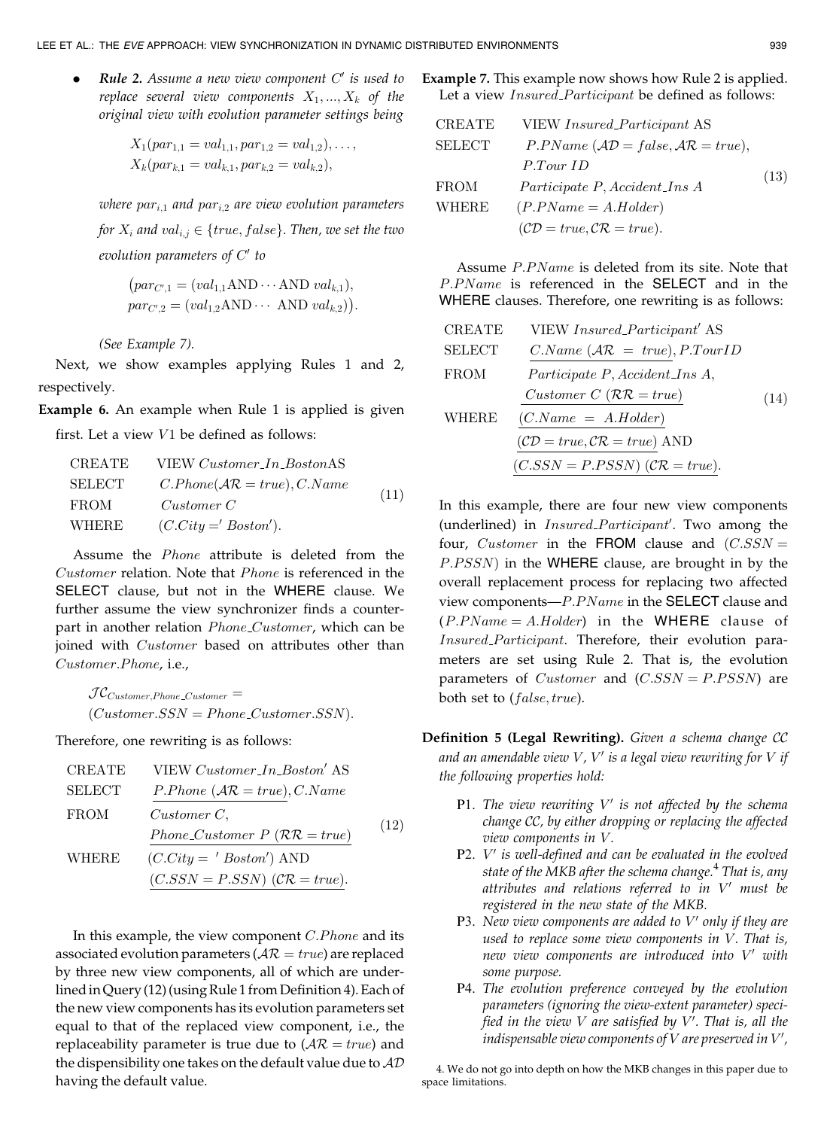**Rule 2.** Assume a new view component  $C'$  is used to replace several view components  $X_1, ..., X_k$  of the original view with evolution parameter settings being

$$
X_1(par_{1,1} = val_{1,1}, par_{1,2} = val_{1,2}), \ldots,
$$
  

$$
X_k(par_{k,1} = val_{k,1}, par_{k,2} = val_{k,2}),
$$

where  $par_{i,1}$  and  $par_{i,2}$  are view evolution parameters for  $X_i$  and  $val_{i,j} \in \{true, false\}$ . Then, we set the two evolution parameters of  $C'$  to

$$
(par_{C',1} = (val_{1,1}AND \cdots AND \ val_{k,1}), par_{C',2} = (val_{1,2}AND \cdots AND \ val_{k,2})).
$$

(See Example 7).

Next, we show examples applying Rules 1 and 2, respectively.

Example 6. An example when Rule 1 is applied is given first. Let a view  $V1$  be defined as follows:

| <b>CREATE</b> | VIEW Customer_In_BostonAS                |      |
|---------------|------------------------------------------|------|
| <b>SELECT</b> | $C. Phone(\mathcal{AR} = true), C. Name$ | (11) |
| <b>FROM</b>   | Customer C                               |      |
| WHERE         | $(C.City = ' Boston').$                  |      |

Assume the *Phone* attribute is deleted from the  $Customer$  relation. Note that  $Phone$  is referenced in the SELECT clause, but not in the WHERE clause. We further assume the view synchronizer finds a counterpart in another relation Phone Customer, which can be joined with Customer based on attributes other than Customer.Phone, i.e.,

 $\mathcal{J}\mathcal{C}_{\mathit{Customer},Phone\_Customer} =$  $(Customer. SSN = Phone\_Customer. SSN).$ 

Therefore, one rewriting is as follows:

| CREATE | VIEW Customer_In_Boston' AS       |      |
|--------|-----------------------------------|------|
| SELECT | $P. Phone (AR = true), C. Name$   |      |
| FROM   | $Customer\ C,$                    |      |
|        | Phone_Customer $P(RR = true)$     | (12) |
| WHERE  | $(C.City = ' Boston')$ AND        |      |
|        | $(C.SSN = P.SSN)$ $(CR = true)$ . |      |

In this example, the view component  $C. Phone$  and its associated evolution parameters ( $AR = true$ ) are replaced by three new view components, all of which are underlined in Query (12) (using Rule 1 from Definition 4). Each of the new view components has its evolution parameters set equal to that of the replaced view component, i.e., the replaceability parameter is true due to  $(A\mathcal{R} = true)$  and the dispensibility one takes on the default value due to  $AD$ having the default value.

Example 7. This example now shows how Rule 2 is applied. Let a view *Insured\_Participant* be defined as follows:

CREATE  
\nVIEW Insured-Participant AS  
\nSELECT  
\n
$$
P.PName (AD = false, AR = true),
$$
  
\n $P.Tour ID$   
\nFROM  
\n $Particle P, Accident Ins A$   
\nWHERE  
\n $(P.PName = A.Holder)$   
\n $(CD = true, CR = true).$ \n

Assume P:PName is deleted from its site. Note that P:PName is referenced in the SELECT and in the WHERE clauses. Therefore, one rewriting is as follows:

CREATE

\nVIEW Insured\_Participant' AS

\nSELECT

\n
$$
\frac{C.Name (\mathcal{AR} = true)}{P.TourID}
$$

\nFROM

\nParticipate P, Accident Ins A,

\nCustomer C (RR = true)

\n(14)

\nWHERE

\n
$$
\frac{(C.Name = A.Holder)}{(C.SSN = P.PSSN) (CR = true)}
$$

In this example, there are four new view components (underlined) in  $Insured\_Participant'$ . Two among the four, Customer in the FROM clause and  $(C. SSN =$  $P. PSSN$ ) in the WHERE clause, are brought in by the overall replacement process for replacing two affected view components—P:PName in the SELECT clause and  $(P.PName = A.Holder)$  in the WHERE clause of Insured Participant. Therefore, their evolution parameters are set using Rule 2. That is, the evolution parameters of *Customer* and  $(C. SSN = P.PSSN)$  are both set to (false, true).

- Definition 5 (Legal Rewriting). Given a schema change CC and an amendable view  $V$ ,  $V'$  is a legal view rewriting for  $V$  if the following properties hold:
	- P1. The view rewriting  $V'$  is not affected by the schema change CC, by either dropping or replacing the affected view components in V.
	- P2.  $V'$  is well-defined and can be evaluated in the evolved state of the MKB after the schema change. $4$  That is, any attributes and relations referred to in  $V'$  must be registered in the new state of the MKB.
	- P3. New view components are added to  $V'$  only if they are used to replace some view components in  $V$ . That is, new view components are introduced into  $V'$  with some purpose.
	- P4. The evolution preference conveyed by the evolution parameters (ignoring the view-extent parameter) specified in the view  $V$  are satisfied by  $V^{\prime}.$  That is, all the indispensable view components of  $V$  are preserved in  $V^{\prime}$  ,

4. We do not go into depth on how the MKB changes in this paper due to space limitations.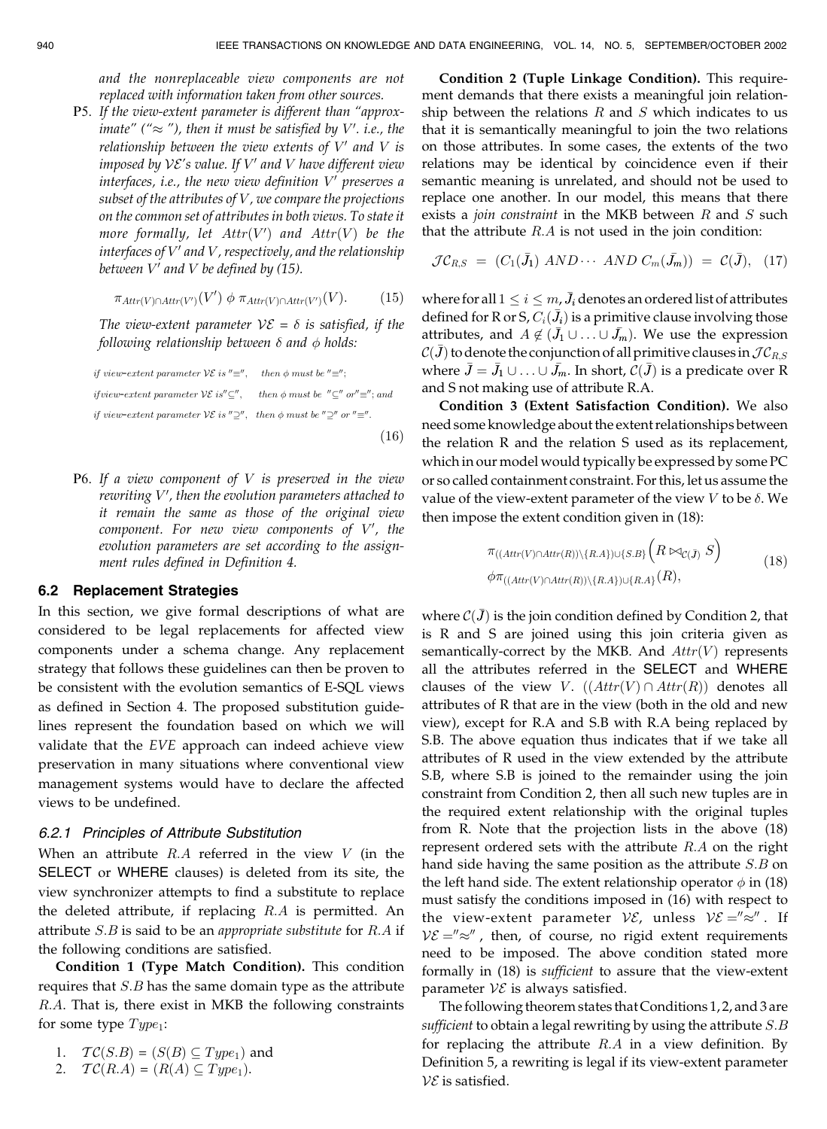and the nonreplaceable view components are not replaced with information taken from other sources.

P5. If the view-extent parameter is different than "approximate" (" $\approx$  "), then it must be satisfied by V'. i.e., the relationship between the view extents of  $V'$  and  $V$  is imposed by  $V\mathcal{E}'$ s value. If  $V'$  and V have different view interfaces, i.e., the new view definition  $V'$  preserves a subset of the attributes of V , we compare the projections on the common set of attributes in both views. To state it more formally, let  $Attr(V')$  and  $Attr(V)$  be the interfaces of  $V'$  and  $V$ , respectively, and the relationship between  $V'$  and  $V$  be defined by (15).

$$
\pi_{Attr(V) \cap Attr(V')}(V') \phi \pi_{Attr(V) \cap Attr(V')}(V). \tag{15}
$$

The view-extent parameter  $V\mathcal{E} = \delta$  is satisfied, if the following relationship between  $\delta$  and  $\phi$  holds:

if view-extent parameter  $V\mathcal{E}$  is " $\equiv$ ", then  $\phi$  must be " $\equiv$ "; if view-extent parameter  $V\mathcal{E}$  is" $\subseteq$ ", then  $\phi$  must be " $\subseteq$ " or" $\equiv$ "; and if view-extent parameter  $V\mathcal{E}$  is  $\mathcal{V} \supset \mathcal{V}$ , then  $\phi$  must be  $\mathcal{V} \supset \mathcal{V}$  or  $\mathcal{V} \equiv \mathcal{V}$ .

 $(16)$ 

P6. If a view component of  $V$  is preserved in the view rewriting  $V'$ , then the evolution parameters attached to it remain the same as those of the original view component. For new view components of  $V'$ , the evolution parameters are set according to the assignment rules defined in Definition 4.

### 6.2 Replacement Strategies

In this section, we give formal descriptions of what are considered to be legal replacements for affected view components under a schema change. Any replacement strategy that follows these guidelines can then be proven to be consistent with the evolution semantics of E-SQL views as defined in Section 4. The proposed substitution guidelines represent the foundation based on which we will validate that the EVE approach can indeed achieve view preservation in many situations where conventional view management systems would have to declare the affected views to be undefined.

### 6.2.1 Principles of Attribute Substitution

When an attribute  $R.A$  referred in the view  $V$  (in the SELECT or WHERE clauses) is deleted from its site, the view synchronizer attempts to find a substitute to replace the deleted attribute, if replacing  $R.A$  is permitted. An attribute  $S.B$  is said to be an *appropriate substitute* for  $R.A$  if the following conditions are satisfied.

Condition 1 (Type Match Condition). This condition requires that  $S.B$  has the same domain type as the attribute R:A. That is, there exist in MKB the following constraints for some type  $Type_1$ :

1. 
$$
TC(S.B) = (S(B) \subseteq Type_1)
$$
 and

$$
2. \quad \mathcal{TC}(R.A) = (R(A) \subseteq Type_1).
$$

Condition 2 (Tuple Linkage Condition). This requirement demands that there exists a meaningful join relationship between the relations  $R$  and  $S$  which indicates to us that it is semantically meaningful to join the two relations on those attributes. In some cases, the extents of the two relations may be identical by coincidence even if their semantic meaning is unrelated, and should not be used to replace one another. In our model, this means that there exists a join constraint in the MKB between  $R$  and  $S$  such that the attribute  $R.A$  is not used in the join condition:

$$
\mathcal{J}\mathcal{C}_{R,S} = (C_1(\bar{J}_1) \; AND \cdots \; AND \; C_m(\bar{J}_m)) = \mathcal{C}(\bar{J}), \; (17)
$$

where for all  $1\leq i\leq m$  ,  $\bar{J}_i$  denotes an ordered list of attributes defined for R or S,  $C_i(\bar{J}_i)$  is a primitive clause involving those attributes, and  $A \not\in (\bar{J}_1 \cup \ldots \cup \bar{J}_m)$ . We use the expression  $\mathcal{C}(\bar{J})$  to denote the conjunction of all primitive clauses in  $\mathcal{J}\mathcal{C}_{RS}$ where  $\bar{J}=\bar{J}_1\cup\ldots\cup\bar{J}_m$ . In short,  $\mathcal{C}(\bar{J})$  is a predicate over R and S not making use of attribute R.A.

Condition 3 (Extent Satisfaction Condition). We also need some knowledge about the extent relationships between the relation R and the relation S used as its replacement, which in our model would typically be expressed by some PC or so called containment constraint. For this, let us assume the value of the view-extent parameter of the view  $V$  to be  $\delta$ . We then impose the extent condition given in (18):

$$
\pi_{((Attr(V)\cap Attr(R))\backslash\{R.A\})\cup\{S.B\}}(R \bowtie_{\mathcal{C}(\bar{J})} S)
$$
\n
$$
\phi\pi_{((Attr(V)\cap Attr(R))\backslash\{R.A\})\cup\{R.A\}}(R),
$$
\n(18)

where  $C(J)$  is the join condition defined by Condition 2, that is R and S are joined using this join criteria given as semantically-correct by the MKB. And  $Attr(V)$  represents all the attributes referred in the SELECT and WHERE clauses of the view *V*.  $((Attr(V) \cap Attr(R))$  denotes all attributes of R that are in the view (both in the old and new view), except for R.A and S.B with R.A being replaced by S.B. The above equation thus indicates that if we take all attributes of R used in the view extended by the attribute S.B, where S.B is joined to the remainder using the join constraint from Condition 2, then all such new tuples are in the required extent relationship with the original tuples from R. Note that the projection lists in the above (18) represent ordered sets with the attribute R:A on the right hand side having the same position as the attribute  $S.B$  on the left hand side. The extent relationship operator  $\phi$  in (18) must satisfy the conditions imposed in (16) with respect to the view-extent parameter  $V\mathcal{E}$ , unless  $V\mathcal{E} = \infty$ . If  $V\mathcal{E} = \mathbb{Z}^n$ , then, of course, no rigid extent requirements need to be imposed. The above condition stated more formally in (18) is sufficient to assure that the view-extent parameter  $\mathcal{VE}$  is always satisfied.

The following theorem states that Conditions 1, 2, and 3 are sufficient to obtain a legal rewriting by using the attribute  $S.B$ for replacing the attribute  $R.A$  in a view definition. By Definition 5, a rewriting is legal if its view-extent parameter  $VE$  is satisfied.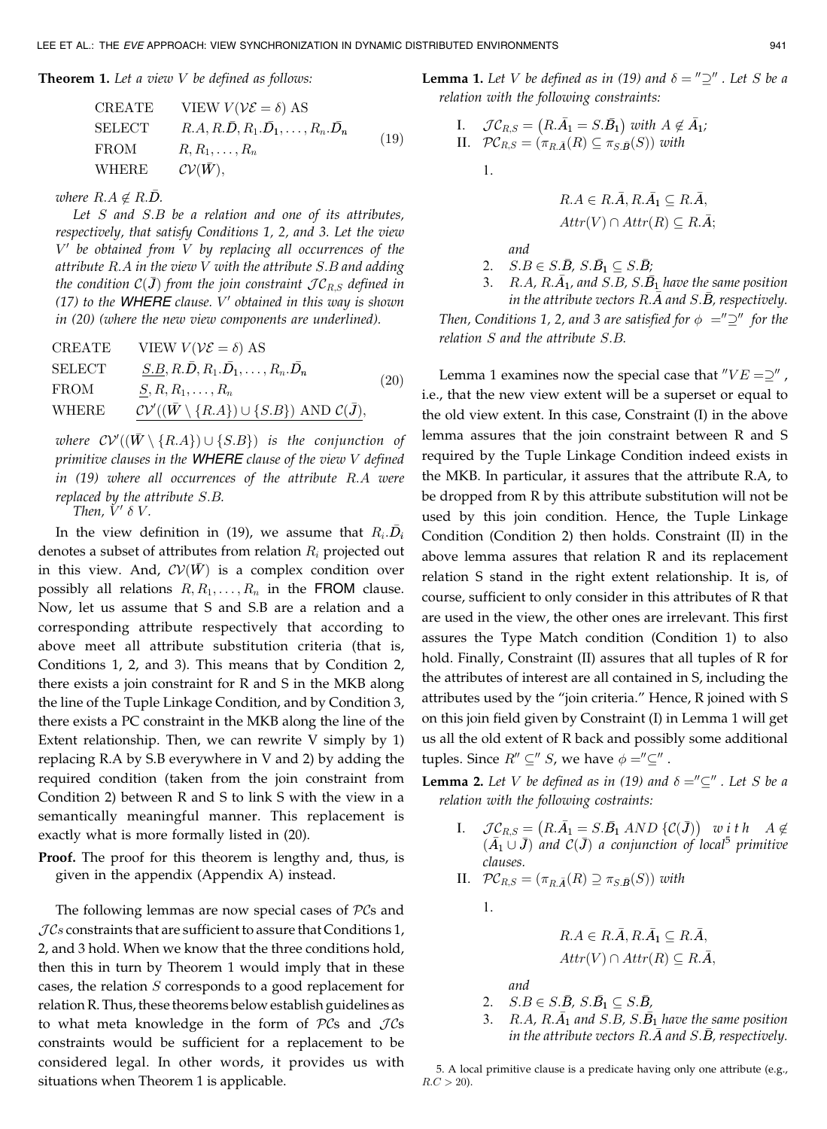#### **Theorem 1.** Let a view  $V$  be defined as follows:

$$
\begin{array}{ll}\n\text{CREATE} & \text{VIEW } V(\mathcal{VE} = \delta) \text{ AS} \\
\text{SELECT} & R.A, R.\bar{D}, R_1.\bar{D}_1, \dots, R_n.\bar{D}_n \\
\text{FROM} & R, R_1, \dots, R_n \\
\text{WHERE} & \mathcal{CV}(\bar{W}),\n\end{array} \tag{19}
$$

where  $R.A \notin R.\overline{D}$ .

Let  $S$  and  $S.B$  be a relation and one of its attributes, respectively, that satisfy Conditions 1, 2, and 3. Let the view  $V'$  be obtained from  $V$  by replacing all occurrences of the attribute  $R.A$  in the view  $V$  with the attribute  $S.B$  and adding the condition  $C(\bar{J})$  from the join constraint  $\mathcal{J} \mathcal{C}_{RS}$  defined in (17) to the WHERE clause.  $V'$  obtained in this way is shown in (20) (where the new view components are underlined).

| $S.B, R.\bar{D}, R_1.D_1, \ldots, R_n.D_n$<br>$\operatorname{SELECT}$                     |      |
|-------------------------------------------------------------------------------------------|------|
|                                                                                           |      |
| FROM<br>$S, R, R_1, \ldots, R_n$                                                          | (20) |
| $\mathcal{CV}((\bar{W}\setminus\{R.A\})\cup\{S.B\})$ AND $\mathcal{C}(\bar{J}),$<br>WHERE |      |

where  $\mathcal{CV}((\bar{W}\setminus\{R.A\})\cup\{S.B\})$  is the conjunction of primitive clauses in the WHERE clause of the view  $V$  defined in  $(19)$  where all occurrences of the attribute  $R.A$  were replaced by the attribute S.B.

Then,  $\check{V}'$   $\delta$   $V$ .

In the view definition in (19), we assume that  $R_i.D_i$ denotes a subset of attributes from relation  $R_i$  projected out in this view. And,  $CV(\bar{W})$  is a complex condition over possibly all relations  $R, R_1, \ldots, R_n$  in the FROM clause. Now, let us assume that S and S.B are a relation and a corresponding attribute respectively that according to above meet all attribute substitution criteria (that is, Conditions 1, 2, and 3). This means that by Condition 2, there exists a join constraint for R and S in the MKB along the line of the Tuple Linkage Condition, and by Condition 3, there exists a PC constraint in the MKB along the line of the Extent relationship. Then, we can rewrite V simply by 1) replacing R.A by S.B everywhere in V and 2) by adding the required condition (taken from the join constraint from Condition 2) between R and S to link S with the view in a semantically meaningful manner. This replacement is exactly what is more formally listed in (20).

Proof. The proof for this theorem is lengthy and, thus, is given in the appendix (Appendix A) instead.

The following lemmas are now special cases of  $PCs$  and  $JCs$  constraints that are sufficient to assure that Conditions 1, 2, and 3 hold. When we know that the three conditions hold, then this in turn by Theorem 1 would imply that in these cases, the relation  $S$  corresponds to a good replacement for relation R. Thus, these theorems below establish guidelines as to what meta knowledge in the form of  $PCs$  and  $JCs$ constraints would be sufficient for a replacement to be considered legal. In other words, it provides us with situations when Theorem 1 is applicable.

**Lemma 1.** Let V be defined as in (19) and  $\delta = \mathbf{N} \supseteq \mathbf{N}$ . Let S be a relation with the following constraints:

I. 
$$
\mathcal{IC}_{R,S} = (R.\bar{A}_1 = S.\bar{B}_1) \text{ with } A \notin \bar{A}_1;
$$
  
II. 
$$
\mathcal{PC}_{R,S} = (\pi_{R.\bar{A}}(R) \subseteq \pi_{S.\bar{B}}(S)) \text{ with}
$$
  
1.

$$
R.A \in R.\bar{A}, R.\bar{A}_1 \subseteq R.\bar{A},
$$
  
Attr(V)  $\cap$ Attr(R)  $\subseteq$  R.\bar{A};

and

2. 
$$
S.B \in S.\bar{B}
$$
,  $S.\bar{B_1} \subseteq S.\bar{B}$ ;

3. R.A, R. $\bar{A}_1$ , and S.B, S. $\bar{B}_1$  have the same position in the attribute vectors  $R.A$  and  $S.B$ , respectively.

Then, Conditions 1, 2, and 3 are satisfied for  $\phi = \Delta^0$  for the relation  $S$  and the attribute  $S.B.$ 

Lemma 1 examines now the special case that " $VE = 2$ ", i.e., that the new view extent will be a superset or equal to the old view extent. In this case, Constraint (I) in the above lemma assures that the join constraint between R and S required by the Tuple Linkage Condition indeed exists in the MKB. In particular, it assures that the attribute R.A, to be dropped from R by this attribute substitution will not be used by this join condition. Hence, the Tuple Linkage Condition (Condition 2) then holds. Constraint (II) in the above lemma assures that relation R and its replacement relation S stand in the right extent relationship. It is, of course, sufficient to only consider in this attributes of R that are used in the view, the other ones are irrelevant. This first assures the Type Match condition (Condition 1) to also hold. Finally, Constraint (II) assures that all tuples of R for the attributes of interest are all contained in S, including the attributes used by the "join criteria." Hence, R joined with S on this join field given by Constraint (I) in Lemma 1 will get us all the old extent of R back and possibly some additional tuples. Since  $R'' \subseteq'' S$ , we have  $\phi ='' \subseteq''$ .

**Lemma 2.** Let V be defined as in (19) and  $\delta = \underline{v} \subseteq \underline{v}$ . Let S be a relation with the following costraints:

I.  $\mathcal{J}\mathcal{C}_{R,S} = (R.\bar{A}_1 = S.\bar{B}_1 \text{ AND } \{\mathcal{C}(\bar{J})\} \text{ with } A \notin$  $(\bar{A}_1 \cup \bar{J})$  and  $\mathcal{C}(\bar{J})$  a conjunction of local<sup>5</sup> primitive clauses.

II. 
$$
\mathcal{PC}_{R,S} = (\pi_{R,\bar{A}}(R) \supseteq \pi_{S,\bar{B}}(S))
$$
 with

1.

$$
R.A \in R.\bar{A}, R.\bar{A_1} \subseteq R.\bar{A},
$$
  
Attr(V)  $\cap$  Attr(R)  $\subseteq$  R.\bar{A},

and

- 2.  $S.B \in S.\bar{B}$ ,  $S.\bar{B_1} \subseteq S.\bar{B}$ ,
- 3.  $R.A$ ,  $R.A$ <sub>1</sub> and  $S.B$ ,  $S.B$ <sub>1</sub> have the same position in the attribute vectors  $R.\bar{A}$  and  $S.\bar{B}$ , respectively.

5. A local primitive clause is a predicate having only one attribute (e.g.,  $R.C > 20$ ).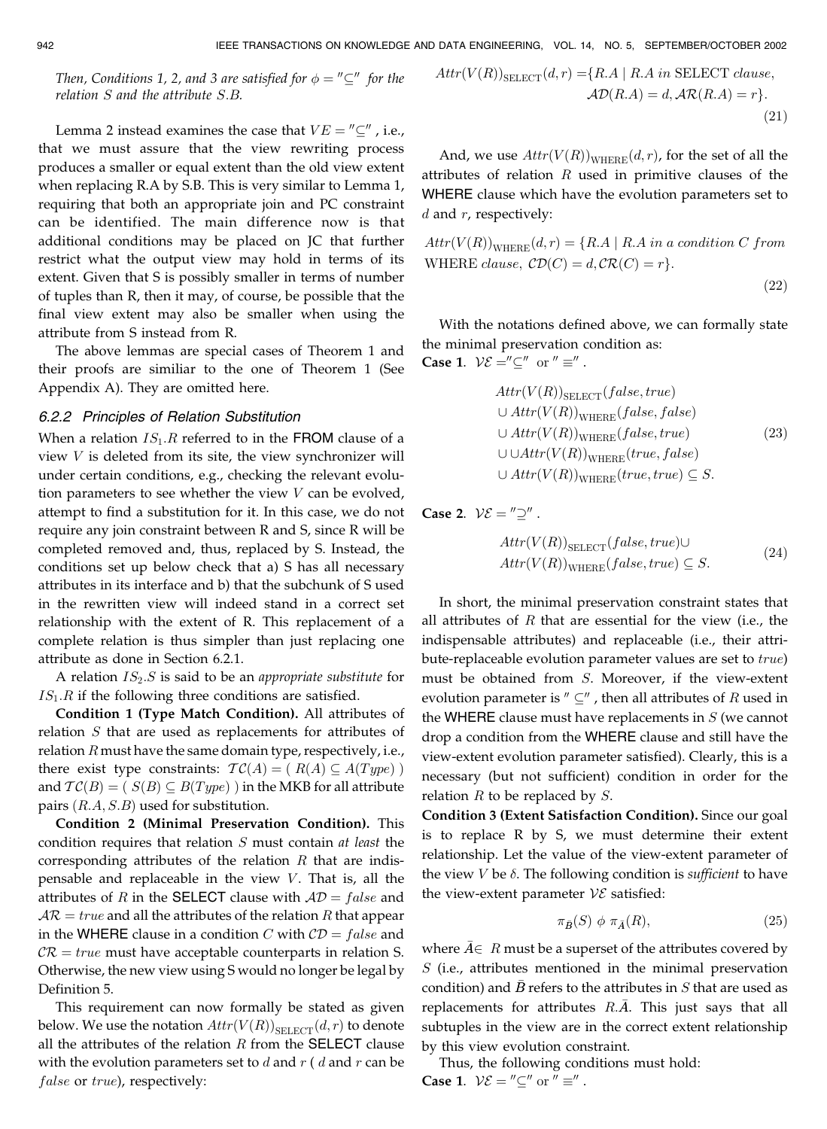Then, Conditions 1, 2, and 3 are satisfied for  $\phi = \alpha \subseteq \alpha$  for the relation  $S$  and the attribute  $S.B.$ 

Lemma 2 instead examines the case that  $VE = \sqrt{\frac{C}{m}}$ , i.e., that we must assure that the view rewriting process produces a smaller or equal extent than the old view extent when replacing R.A by S.B. This is very similar to Lemma 1, requiring that both an appropriate join and PC constraint can be identified. The main difference now is that additional conditions may be placed on JC that further restrict what the output view may hold in terms of its extent. Given that S is possibly smaller in terms of number of tuples than R, then it may, of course, be possible that the final view extent may also be smaller when using the attribute from S instead from R.

The above lemmas are special cases of Theorem 1 and their proofs are similiar to the one of Theorem 1 (See Appendix A). They are omitted here.

#### 6.2.2 Principles of Relation Substitution

When a relation  $IS_1.R$  referred to in the FROM clause of a view  $V$  is deleted from its site, the view synchronizer will under certain conditions, e.g., checking the relevant evolution parameters to see whether the view  $V$  can be evolved, attempt to find a substitution for it. In this case, we do not require any join constraint between R and S, since R will be completed removed and, thus, replaced by S. Instead, the conditions set up below check that a) S has all necessary attributes in its interface and b) that the subchunk of S used in the rewritten view will indeed stand in a correct set relationship with the extent of R. This replacement of a complete relation is thus simpler than just replacing one attribute as done in Section 6.2.1.

A relation  $IS_2.S$  is said to be an appropriate substitute for  $IS_1.R$  if the following three conditions are satisfied.

Condition 1 (Type Match Condition). All attributes of relation  $S$  that are used as replacements for attributes of relation  $R$  must have the same domain type, respectively, i.e., there exist type constraints:  $TC(A) = (R(A) \subseteq A(Type))$ and  $TC(B) = (S(B) \subseteq B(Type)$  in the MKB for all attribute pairs  $(R.A, S.B)$  used for substitution.

Condition 2 (Minimal Preservation Condition). This condition requires that relation  $S$  must contain  $at$  least the corresponding attributes of the relation  $R$  that are indispensable and replaceable in the view  $V$ . That is, all the attributes of R in the SELECT clause with  $AD = false$  and  $AR = true$  and all the attributes of the relation R that appear in the WHERE clause in a condition C with  $CD = false$  and  $CR = true$  must have acceptable counterparts in relation S. Otherwise, the new view using S would no longer be legal by Definition 5.

This requirement can now formally be stated as given below. We use the notation  $Attr(V(R))_{\text{SELECT}}(d, r)$  to denote all the attributes of the relation  $R$  from the SELECT clause with the evolution parameters set to  $d$  and  $r$  ( $d$  and  $r$  can be false or true), respectively:

$$
Attr(V(R))_{\text{SELECT}}(d, r) = \{R.A \mid R.A \text{ in SELECT clause}, \newline \mathcal{AD}(R.A) = d, \mathcal{AR}(R.A) = r\}.
$$
\n(21)

And, we use  $Attr(V(R))_{WHERE}(d, r)$ , for the set of all the attributes of relation  $R$  used in primitive clauses of the WHERE clause which have the evolution parameters set to  $d$  and  $r$ , respectively:

 $Attr(V(R))_{\text{WHERE}}(d,r) = \{RA \mid R.A \text{ in a condition } C \text{ from }$ WHERE clause,  $\mathcal{CD}(C) = d, \mathcal{CR}(C) = r$ .

$$
(22)
$$

With the notations defined above, we can formally state the minimal preservation condition as: **Case 1.**  $V\mathcal{E} = \mathcal{E}' \subseteq \mathcal{E}$  or  $\mathcal{E}' = \mathcal{E}'$ .

$$
Attr(V(R))_{\text{SELECT}}(false, true)
$$
  
\n
$$
\cup \text{Attr}(V(R))_{\text{WHERE}}(false, false)
$$
  
\n
$$
\cup \text{Attr}(V(R))_{\text{WHERE}}(false, true)
$$
  
\n
$$
\cup \text{Attr}(V(R))_{\text{WHERE}}(true, false)
$$
  
\n
$$
\cup \text{Attr}(V(R))_{\text{WHERE}}(true, true) \subseteq S.
$$
 (23)

Case 2.  $V\mathcal{E} = \mathbb{Z}^n$ .

$$
Attr(V(R))_{\text{SELECT}}(false, true) \cup
$$
  

$$
Attr(V(R))_{\text{WHERE}}(false, true) \subseteq S.
$$
 (24)

In short, the minimal preservation constraint states that all attributes of  $R$  that are essential for the view (i.e., the indispensable attributes) and replaceable (i.e., their attribute-replaceable evolution parameter values are set to true) must be obtained from S. Moreover, if the view-extent evolution parameter is  $^{\prime\prime} \subseteq^{\prime\prime}$ , then all attributes of R used in the WHERE clause must have replacements in  $S$  (we cannot drop a condition from the WHERE clause and still have the view-extent evolution parameter satisfied). Clearly, this is a necessary (but not sufficient) condition in order for the relation  $R$  to be replaced by  $S$ .

Condition 3 (Extent Satisfaction Condition). Since our goal is to replace R by S, we must determine their extent relationship. Let the value of the view-extent parameter of the view  $V$  be  $\delta$ . The following condition is *sufficient* to have the view-extent parameter  $V\mathcal{E}$  satisfied:

$$
\pi_{\bar{B}}(S) \phi \pi_{\bar{A}}(R), \tag{25}
$$

where  $\overline{A} \in R$  must be a superset of the attributes covered by S (i.e., attributes mentioned in the minimal preservation condition) and  $\bar{B}$  refers to the attributes in S that are used as replacements for attributes  $R.\bar{A}$ . This just says that all subtuples in the view are in the correct extent relationship by this view evolution constraint.

Thus, the following conditions must hold: **Case 1.**  $V\mathcal{E} = \mathcal{C}' \subseteq \mathcal{C}$  or  $\mathcal{C}' \equiv \mathcal{C}$ .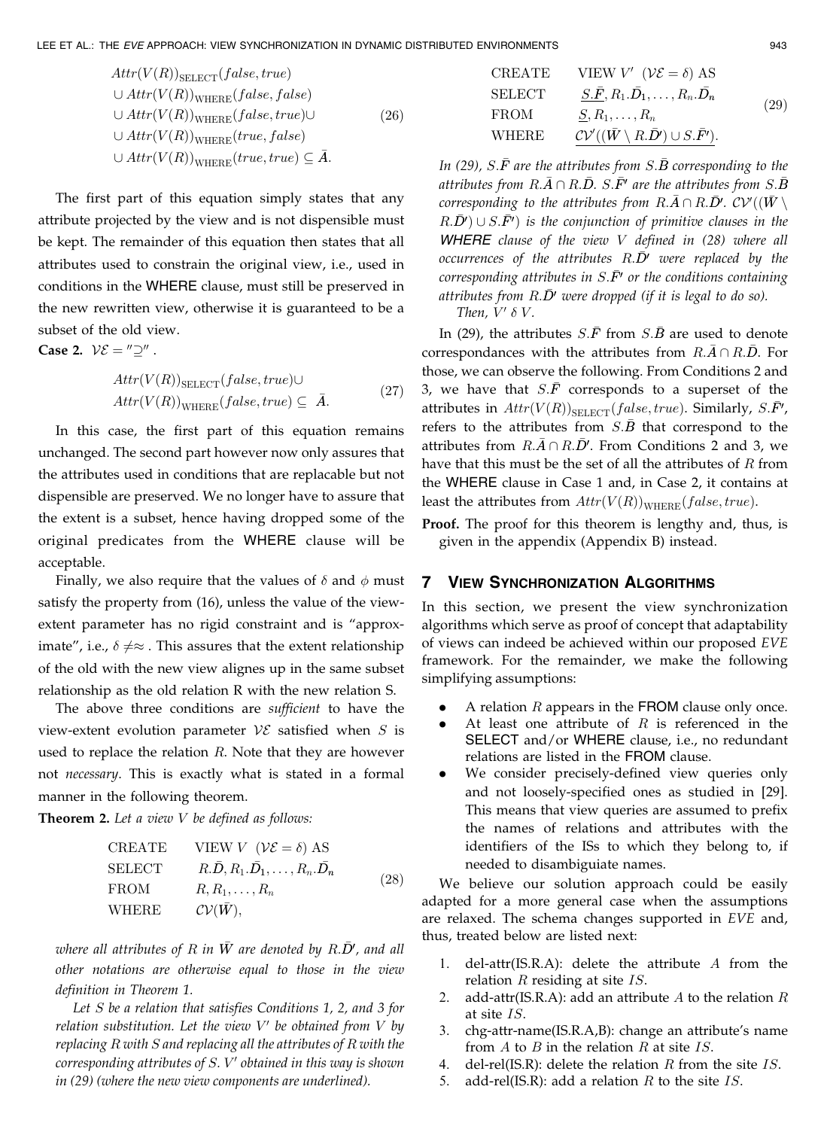$$
Attr(V(R))_{\text{SELECT}}(false, true)
$$
  
\n
$$
\cup \text{Attr}(V(R))_{\text{WHERE}}(false, false)
$$
  
\n
$$
\cup \text{Attr}(V(R))_{\text{WHERE}}(false, true) \cup
$$
  
\n
$$
\cup \text{Attr}(V(R))_{\text{WHERE}}(true, false)
$$
  
\n
$$
\cup \text{Attr}(V(R))_{\text{WHERE}}(true, true) \subseteq \overline{A}.
$$
 (26)

The first part of this equation simply states that any attribute projected by the view and is not dispensible must be kept. The remainder of this equation then states that all attributes used to constrain the original view, i.e., used in conditions in the WHERE clause, must still be preserved in the new rewritten view, otherwise it is guaranteed to be a subset of the old view.

Case 2.  $V\mathcal{E} = \mathbb{Z}^n$ .

$$
Attr(V(R))_{\text{SELECT}}(false, true) \cup
$$
  

$$
Attr(V(R))_{\text{WHERE}}(false, true) \subseteq \bar{A}.
$$
 (27)

In this case, the first part of this equation remains unchanged. The second part however now only assures that the attributes used in conditions that are replacable but not dispensible are preserved. We no longer have to assure that the extent is a subset, hence having dropped some of the original predicates from the WHERE clause will be acceptable.

Finally, we also require that the values of  $\delta$  and  $\phi$  must satisfy the property from (16), unless the value of the viewextent parameter has no rigid constraint and is "approximate", i.e.,  $\delta \neq \infty$ . This assures that the extent relationship of the old with the new view alignes up in the same subset relationship as the old relation R with the new relation S.

The above three conditions are sufficient to have the view-extent evolution parameter  $\mathcal{VE}$  satisfied when S is used to replace the relation  $R$ . Note that they are however not necessary. This is exactly what is stated in a formal manner in the following theorem.

**Theorem 2.** Let a view  $V$  be defined as follows:

$$
\begin{array}{ll}\n\text{CREATE} & \text{VIEW } V \ (\mathcal{VE} = \delta) \text{ AS} \\
\text{SELECT} & R.\bar{D}, R_1.\bar{D}_1, \dots, R_n.\bar{D}_n \\
\text{FROM} & R, R_1, \dots, R_n \\
\text{WHERE} & \mathcal{CV}(\bar{W}),\n\end{array} \tag{28}
$$

where all attributes of  $R$  in  $\bar{W}$  are denoted by  $R.\bar{D'}$ , and all other notations are otherwise equal to those in the view definition in Theorem 1.

Let S be a relation that satisfies Conditions 1, 2, and 3 for relation substitution. Let the view  $V'$  be obtained from  $V$  by replacing  $R$  with  $S$  and replacing all the attributes of  $R$  with the corresponding attributes of  $S$ .  $V'$  obtained in this way is shown in (29) (where the new view components are underlined).

| <b>CREATE</b> | VIEW V' ( $v \mathcal{E} = \delta$ ) AS                        |      |
|---------------|----------------------------------------------------------------|------|
| SELECT        | $S.F, R_1.D_1, \ldots, R_n.D_n$                                |      |
| <b>FROM</b>   | $S, R_1, \ldots, R_n$                                          | (29) |
| WHERE         | $\mathcal{CV}'((\bar{W}\setminus R.\bar{D'})\cup S.\bar{F'}).$ |      |

In (29),  $S.\bar{F}$  are the attributes from  $S.\bar{B}$  corresponding to the attributes from  $R.\bar{A}\cap R.\bar{D}.$  S. $\bar{F}^{\prime}$  are the attributes from  $S.\bar{B}$ corresponding to the attributes from  $R.\bar{A}\cap R.\bar{D'}$ . CV'(( $\bar{W}\setminus\bar{0}$  $R.\bar{D}^{\prime}) \cup S.\bar{F}^{\prime}$ ) is the conjunction of primitive clauses in the WHERE clause of the view  $V$  defined in (28) where all occurrences of the attributes  $R.\bar{D}'$  were replaced by the corresponding attributes in  $S.\bar{F}$  or the conditions containing attributes from  $R.\bar{D}'$  were dropped (if it is legal to do so). Then,  $V'$   $\delta V$ .

In (29), the attributes  $S.\bar{F}$  from  $S.\bar{B}$  are used to denote correspondances with the attributes from  $R.\bar{A} \cap R.\bar{D}$ . For those, we can observe the following. From Conditions 2 and 3, we have that  $S.\bar{F}$  corresponds to a superset of the attributes in  $Attr(V(R))_{\text{SELECT}}(false, true)$ . Similarly, S.F', refers to the attributes from  $S.\bar{B}$  that correspond to the attributes from  $R.\bar{A} \cap R.\bar{D'}$ . From Conditions 2 and 3, we have that this must be the set of all the attributes of  $R$  from the WHERE clause in Case 1 and, in Case 2, it contains at least the attributes from  $Attr(V(R))_{WHERE}(false, true)$ .

Proof. The proof for this theorem is lengthy and, thus, is given in the appendix (Appendix B) instead.

# 7 VIEW SYNCHRONIZATION ALGORITHMS

In this section, we present the view synchronization algorithms which serve as proof of concept that adaptability of views can indeed be achieved within our proposed EVE framework. For the remainder, we make the following simplifying assumptions:

- A relation  $R$  appears in the FROM clause only once.
- At least one attribute of  $R$  is referenced in the SELECT and/or WHERE clause, i.e., no redundant relations are listed in the FROM clause.
- We consider precisely-defined view queries only and not loosely-specified ones as studied in [29]. This means that view queries are assumed to prefix the names of relations and attributes with the identifiers of the ISs to which they belong to, if needed to disambiguiate names.

We believe our solution approach could be easily adapted for a more general case when the assumptions are relaxed. The schema changes supported in EVE and, thus, treated below are listed next:

- 1. del-attr(IS.R.A): delete the attribute A from the relation  $R$  residing at site  $IS$ .
- 2. add-attr(IS.R.A): add an attribute A to the relation  $R$ at site IS.
- 3. chg-attr-name(IS.R.A,B): change an attribute's name from  $A$  to  $B$  in the relation  $R$  at site  $IS$ .
- 4. del-rel(IS.R): delete the relation  $R$  from the site  $IS$ .
- 5. add-rel(IS.R): add a relation  $R$  to the site  $IS$ .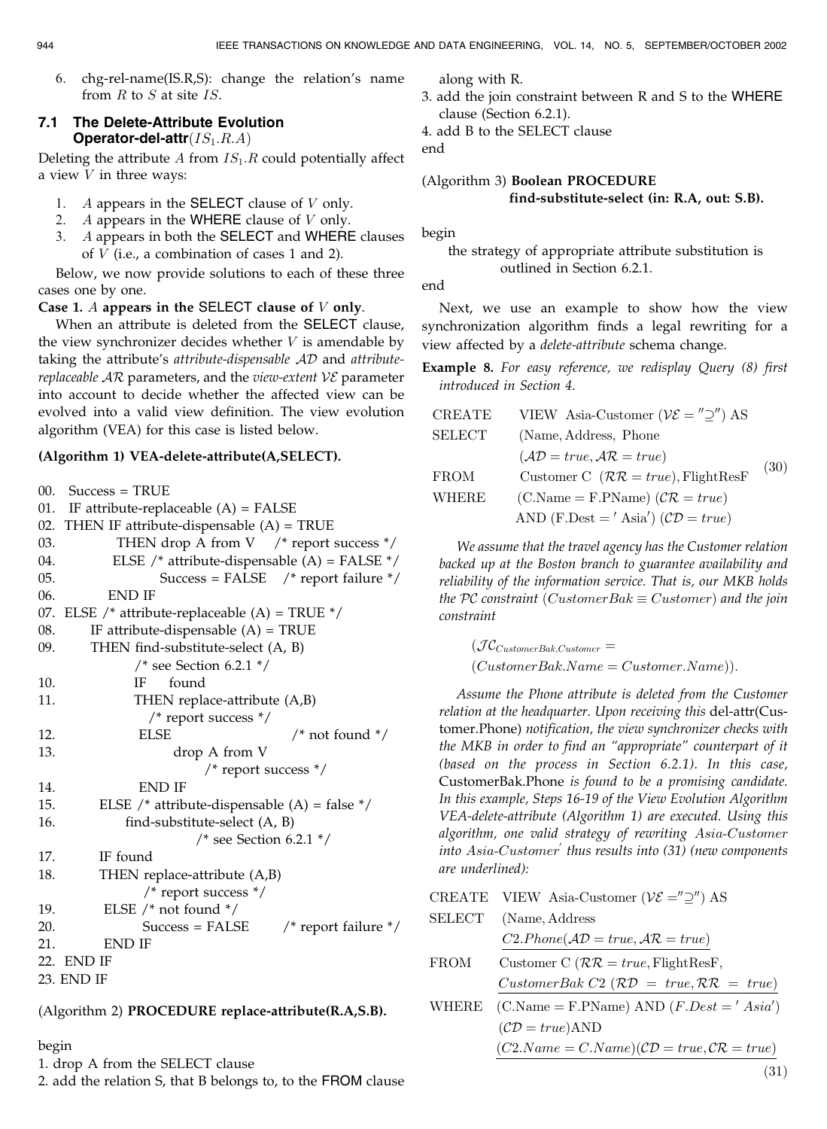6. chg-rel-name(IS.R,S): change the relation's name from  $R$  to  $S$  at site  $IS$ .

# 7.1 The Delete-Attribute Evolution Operator-del-attr $(IS_1.R.A)$

Deleting the attribute  $A$  from  $IS_1.R$  could potentially affect a view  $V$  in three ways:

- 1. A appears in the SELECT clause of  $V$  only.
- 2.  $A$  appears in the WHERE clause of  $V$  only.
- 3. A appears in both the SELECT and WHERE clauses of  $V$  (i.e., a combination of cases 1 and 2).

Below, we now provide solutions to each of these three cases one by one.

Case 1.  $A$  appears in the SELECT clause of  $V$  only.

When an attribute is deleted from the SELECT clause, the view synchronizer decides whether  $V$  is amendable by taking the attribute's attribute-dispensable AD and attributereplaceable  $AR$  parameters, and the view-extent  $VE$  parameter into account to decide whether the affected view can be evolved into a valid view definition. The view evolution algorithm (VEA) for this case is listed below.

```
(Algorithm 1) VEA-delete-attribute(A,SELECT).
00. Success = TRUE
01. IF attribute-replaceable (A) = FALSE
02. THEN IF attribute-dispensable (A) = TRUE
03. THEN drop A from V /* report success */
04. ELSE /* attribute-dispensable (A) = FALSE */05. Success = FALSE /* report failure */06. END IF
07. ELSE /* attribute-replaceable (A) = TRUE */
08. IF attribute-dispensable (A) = TRUE
09. THEN find-substitute-select (A, B)
            /* see Section 6.2.1 */
10. IF found
11. THEN replace-attribute (A,B)
              /* report success */
12. ELSE /* not found */
13. drop A from V
                     /* report success */
14. END IF
15. ELSE /* attribute-dispensable (A) = false */16. find-substitute-select (A, B)
                    /* see Section 6.2.1 */
17. IF found
18. THEN replace-attribute (A,B)
              /* report success */
19. ELSE /* not found */<br>20. Success = FALSE
20. Success = FALSE /* report failure */21. END IF
22. END IF
23. END IF
(Algorithm 2) PROCEDURE replace-attribute(R.A,S.B).
```
# begin

1. drop A from the SELECT clause

2. add the relation S, that B belongs to, to the FROM clause

along with R.

- 3. add the join constraint between R and S to the WHERE clause (Section 6.2.1).
- 4. add B to the SELECT clause

end

# (Algorithm 3) Boolean PROCEDURE find-substitute-select (in: R.A, out: S.B).

begin

```
the strategy of appropriate attribute substitution is
        outlined in Section 6.2.1.
```
end

Next, we use an example to show how the view synchronization algorithm finds a legal rewriting for a view affected by a delete-attribute schema change.

Example 8. For easy reference, we redisplay Query (8) first introduced in Section 4.

| CREATE        | VIEW Asia-Customer ( $V\mathcal{E} = \mathbf{Z}'' \mathbf{Q}''$ ) AS |      |
|---------------|----------------------------------------------------------------------|------|
| <b>SELECT</b> | (Name, Address, Phone)                                               |      |
|               | $(\mathcal{AD} = true, \mathcal{AR} = true)$                         |      |
| <b>FROM</b>   | Customer C $(RR = true)$ , FlightResF                                | (30) |
| WHERE         | $(C.Name = F.PName) (CR = true)$                                     |      |
|               | AND (F.Dest = 'Asia') $(\mathcal{CD} = true)$                        |      |

We assume that the travel agency has the Customer relation backed up at the Boston branch to guarantee availability and reliability of the information service. That is, our MKB holds the PC constraint (CustomerBak  $\equiv$  Customer) and the join constraint

 $(\mathcal{J}\mathcal{C}_{CustomerBak,Customer} =$  $(CustomerBak.Name = Customer.Name).$ 

Assume the Phone attribute is deleted from the Customer relation at the headquarter. Upon receiving this del-attr(Customer.Phone) notification, the view synchronizer checks with the MKB in order to find an "appropriate" counterpart of it (based on the process in Section 6.2.1). In this case, CustomerBak.Phone is found to be a promising candidate. In this example, Steps 16-19 of the View Evolution Algorithm VEA-delete-attribute (Algorithm 1) are executed. Using this algorithm, one valid strategy of rewriting Asia-Customer into  $Asia\text{-}Customer'$  thus results into (31) (new components are underlined):

| CREATE | VIEW Asia-Customer ( $V\mathcal{E} = \mathcal{Z}' \supseteq''$ ) AS |
|--------|---------------------------------------------------------------------|
| SELECT | (Name, Address)                                                     |
|        | $C2. Phone(\mathcal{AD} = true, \mathcal{AR} = true)$               |
| FROM   | Customer C ( $\mathcal{RR} = true$ , FlightResF,                    |
|        | CustomerBak C2 ( $\mathcal{RD} = true, \mathcal{RR} = true$ )       |
| WHERE  | $(C.Name = F.PName) AND (F.Dest = 'Asia')$                          |
|        | $(\mathcal{CD} = true)$ AND                                         |
|        | $(C2.Name = C.Name)(CD = true, CR = true)$                          |
|        |                                                                     |

 $(31)$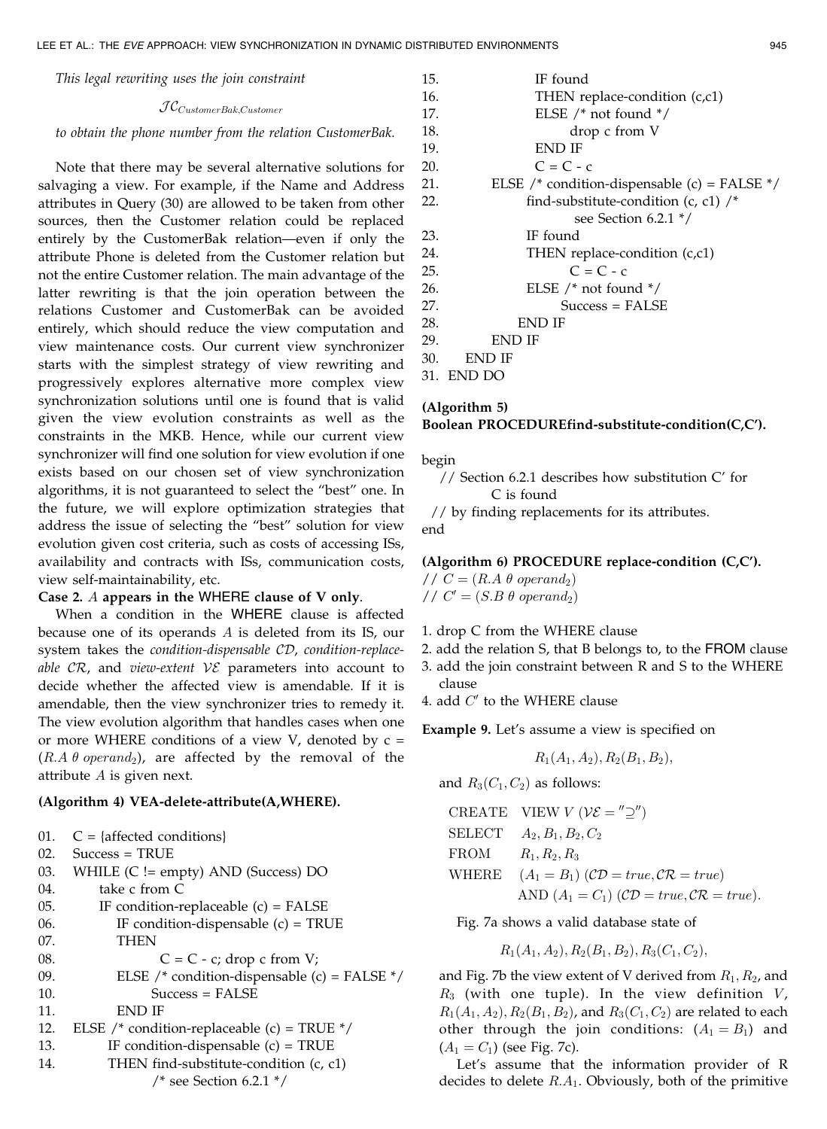|  |  |  | This legal rewriting uses the join constraint |  |
|--|--|--|-----------------------------------------------|--|
|  |  |  |                                               |  |

$$
\mathcal{J}\mathcal{C}_{CustomerBak, Customer}
$$

to obtain the phone number from the relation CustomerBak.

Note that there may be several alternative solutions for salvaging a view. For example, if the Name and Address attributes in Query (30) are allowed to be taken from other sources, then the Customer relation could be replaced entirely by the CustomerBak relation—even if only the attribute Phone is deleted from the Customer relation but not the entire Customer relation. The main advantage of the latter rewriting is that the join operation between the relations Customer and CustomerBak can be avoided entirely, which should reduce the view computation and view maintenance costs. Our current view synchronizer starts with the simplest strategy of view rewriting and progressively explores alternative more complex view synchronization solutions until one is found that is valid given the view evolution constraints as well as the constraints in the MKB. Hence, while our current view synchronizer will find one solution for view evolution if one exists based on our chosen set of view synchronization algorithms, it is not guaranteed to select the "best" one. In the future, we will explore optimization strategies that address the issue of selecting the "best" solution for view evolution given cost criteria, such as costs of accessing ISs, availability and contracts with ISs, communication costs, view self-maintainability, etc.

#### Case 2. A appears in the WHERE clause of V only.

When a condition in the WHERE clause is affected because one of its operands A is deleted from its IS, our system takes the condition-dispensable CD, condition-replaceable  $CR$ , and view-extent  $VE$  parameters into account to decide whether the affected view is amendable. If it is amendable, then the view synchronizer tries to remedy it. The view evolution algorithm that handles cases when one or more WHERE conditions of a view V, denoted by  $c =$  $(R.A \theta \text{ } operand_2)$ , are affected by the removal of the attribute  $A$  is given next.

### (Algorithm 4) VEA-delete-attribute(A,WHERE).

| 01. | $C = \{affected conditions\}$                    |
|-----|--------------------------------------------------|
| 02. | $Success = TRUE$                                 |
| 03. | WHILE $(C \equiv \text{empty})$ AND (Success) DO |
| 04. | take c from C                                    |
| 05. | IF condition-replaceable $(c)$ = FALSE           |
| 06. | IF condition-dispensable $(c)$ = TRUE            |
| 07. | <b>THEN</b>                                      |
| 08. | $C = C - c$ ; drop c from V;                     |
| 09. | ELSE /* condition-dispensable (c) = FALSE $*/$   |
| 10. | $Success = FAISE$                                |
| 11. | END IF                                           |
| 12. | ELSE /* condition-replaceable (c) = TRUE $*/$    |
| 13. | IF condition-dispensable $(c)$ = TRUE            |
| 14. | THEN find-substitute-condition (c, c1)           |
|     | /* see Section 6.2.1 $*/$                        |

```
15. IF found
16. THEN replace-condition (c,c1)
17. ELSE /* not found */18. drop c from V
19. END IF
20. C = C - c21. ELSE /* condition-dispensable (c) = FALSE */22. find-substitute-condition (c, c1) /*
               see Section 6.2.1 */
23. IF found
24. THEN replace-condition (c,c1)
25. C = C - c26. ELSE /* not found */27. Success = FALSE
28. END IF
29. END IF
30. END IF
31. END DO
```
# (Algorithm 5) Boolean PROCEDUREfind-substitute-condition(C,C').

begin

- // Section 6.2.1 describes how substitution C' for C is found
- // by finding replacements for its attributes.

end

### (Algorithm 6) PROCEDURE replace-condition (C,C').

//  $C = (R.A \theta \text{ operand}_2)$ //  $C' = (S.B \theta \text{ operand}_2)$ 

- 1. drop C from the WHERE clause
- 2. add the relation S, that B belongs to, to the FROM clause
- 3. add the join constraint between R and S to the WHERE clause
- 4. add  $C'$  to the WHERE clause

Example 9. Let's assume a view is specified on

$$
R_1(A_1, A_2), R_2(B_1, B_2),
$$

and  $R_3(C_1, C_2)$  as follows:

CREATE

\nVIEW 
$$
V
$$
 ( $V\mathcal{E} = \mathcal{F}_2$ )

\nSELECT

\n $A_2, B_1, B_2, C_2$ 

\nFROM

\n $R_1, R_2, R_3$ 

\nWHERE

\n $(A_1 = B_1)$  ( $\mathcal{CD} = true, \mathcal{CR} = true$ )

\nAND  $(A_1 = C_1)$  ( $\mathcal{CD} = true, \mathcal{CR} = true$ ).

Fig. 7a shows a valid database state of

$$
R_1(A_1, A_2), R_2(B_1, B_2), R_3(C_1, C_2),
$$

and Fig. 7b the view extent of V derived from  $R_1, R_2$ , and  $R_3$  (with one tuple). In the view definition  $V$ ,  $R_1(A_1, A_2), R_2(B_1, B_2)$ , and  $R_3(C_1, C_2)$  are related to each other through the join conditions:  $(A_1 = B_1)$  and  $(A_1 = C_1)$  (see Fig. 7c).

Let's assume that the information provider of R decides to delete  $R.A_1$ . Obviously, both of the primitive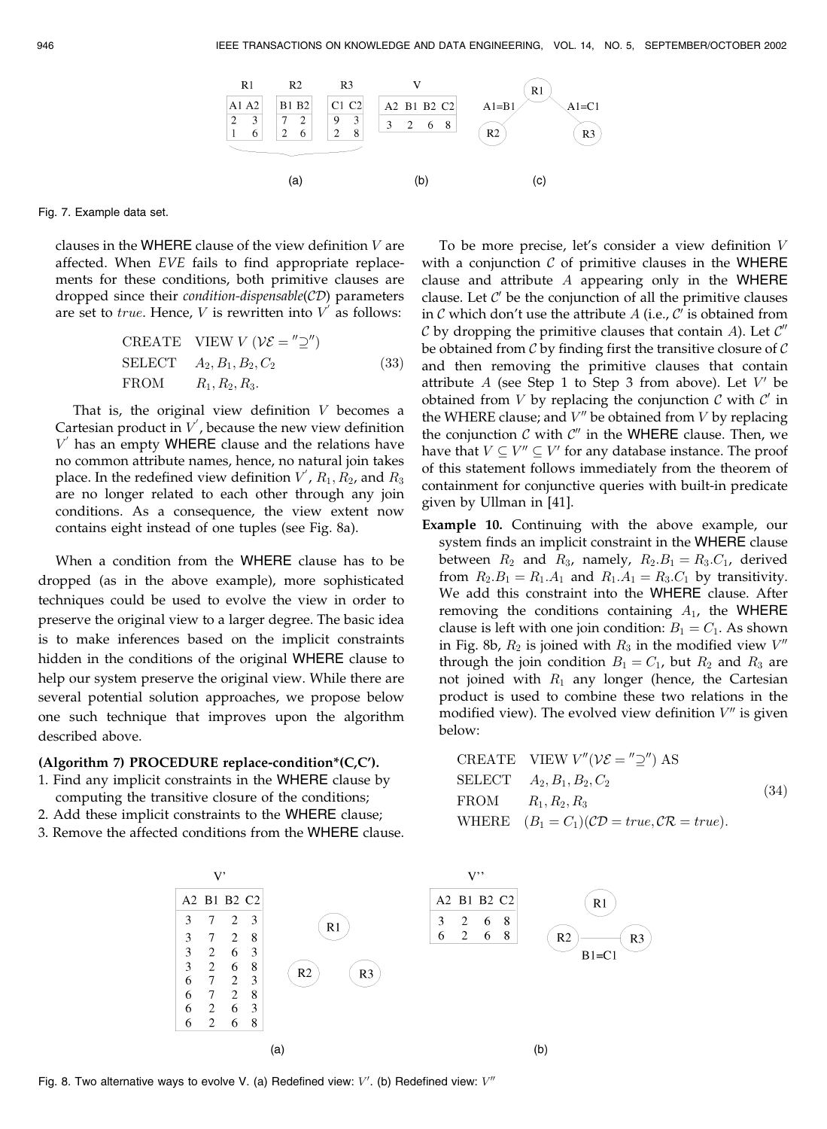

#### Fig. 7. Example data set.

clauses in the WHERE clause of the view definition  $V$  are affected. When EVE fails to find appropriate replacements for these conditions, both primitive clauses are dropped since their *condition-dispensable(CD)* parameters are set to *true*. Hence, *V* is rewritten into  $V'$  as follows:

$$
\begin{aligned}\n\text{CREATE} & \text{VIEW } V \left( \mathcal{VE} = \text{``} \mathcal{Q} \text{''} \right) \\
\text{SELECT} & A_2, B_1, B_2, C_2 \\
\text{FROM} & R_1, R_2, R_3.\n\end{aligned} \tag{33}
$$

That is, the original view definition  $V$  becomes a Cartesian product in  $V'$ , because the new view definition  $V'$  has an empty WHERE clause and the relations have no common attribute names, hence, no natural join takes place. In the redefined view definition  $V^{'}$ ,  $R_1, R_2$ , and  $R_3$ are no longer related to each other through any join conditions. As a consequence, the view extent now contains eight instead of one tuples (see Fig. 8a).

When a condition from the WHERE clause has to be dropped (as in the above example), more sophisticated techniques could be used to evolve the view in order to preserve the original view to a larger degree. The basic idea is to make inferences based on the implicit constraints hidden in the conditions of the original WHERE clause to help our system preserve the original view. While there are several potential solution approaches, we propose below one such technique that improves upon the algorithm described above.

#### (Algorithm 7) PROCEDURE replace-condition\*(C,C').

- 1. Find any implicit constraints in the WHERE clause by computing the transitive closure of the conditions;
- 2. Add these implicit constraints to the WHERE clause;
- 3. Remove the affected conditions from the WHERE clause.



To be more precise, let's consider a view definition V with a conjunction  $C$  of primitive clauses in the WHERE clause and attribute  $A$  appearing only in the WHERE clause. Let  $\mathcal{C}'$  be the conjunction of all the primitive clauses in  $C$  which don't use the attribute  $A$  (i.e.,  $C'$  is obtained from C by dropping the primitive clauses that contain A). Let  $\mathcal{C}''$ be obtained from  $\mathcal C$  by finding first the transitive closure of  $\mathcal C$ and then removing the primitive clauses that contain attribute A (see Step 1 to Step 3 from above). Let  $V'$  be obtained from  $V$  by replacing the conjunction  $C$  with  $C'$  in the WHERE clause; and  $V''$  be obtained from V by replacing the conjunction  $C$  with  $C''$  in the WHERE clause. Then, we have that  $V \subseteq V'' \subseteq V'$  for any database instance. The proof of this statement follows immediately from the theorem of containment for conjunctive queries with built-in predicate given by Ullman in [41].

Example 10. Continuing with the above example, our system finds an implicit constraint in the WHERE clause between  $R_2$  and  $R_3$ , namely,  $R_2.B_1 = R_3.C_1$ , derived from  $R_2.B_1 = R_1.A_1$  and  $R_1.A_1 = R_3.C_1$  by transitivity. We add this constraint into the WHERE clause. After removing the conditions containing  $A_1$ , the WHERE clause is left with one join condition:  $B_1 = C_1$ . As shown in Fig. 8b,  $R_2$  is joined with  $R_3$  in the modified view  $V''$ through the join condition  $B_1 = C_1$ , but  $R_2$  and  $R_3$  are not joined with  $R_1$  any longer (hence, the Cartesian product is used to combine these two relations in the modified view). The evolved view definition  $V''$  is given below:

$$
\begin{aligned}\n\text{CREATE} & \text{VIEW } V''(\mathcal{VE} = \text{''2''}) \text{ AS} \\
\text{SELECT} & A_2, B_1, B_2, C_2 \\
\text{FROM} & R_1, R_2, R_3 \\
\text{WHERE} & (B_1 = C_1)(\mathcal{CD} = true, \mathcal{CR} = true).\n\end{aligned} \tag{34}
$$



 $(b)$ 

Fig. 8. Two alternative ways to evolve V. (a) Redefined view:  $V'$ . (b) Redefined view:  $V''$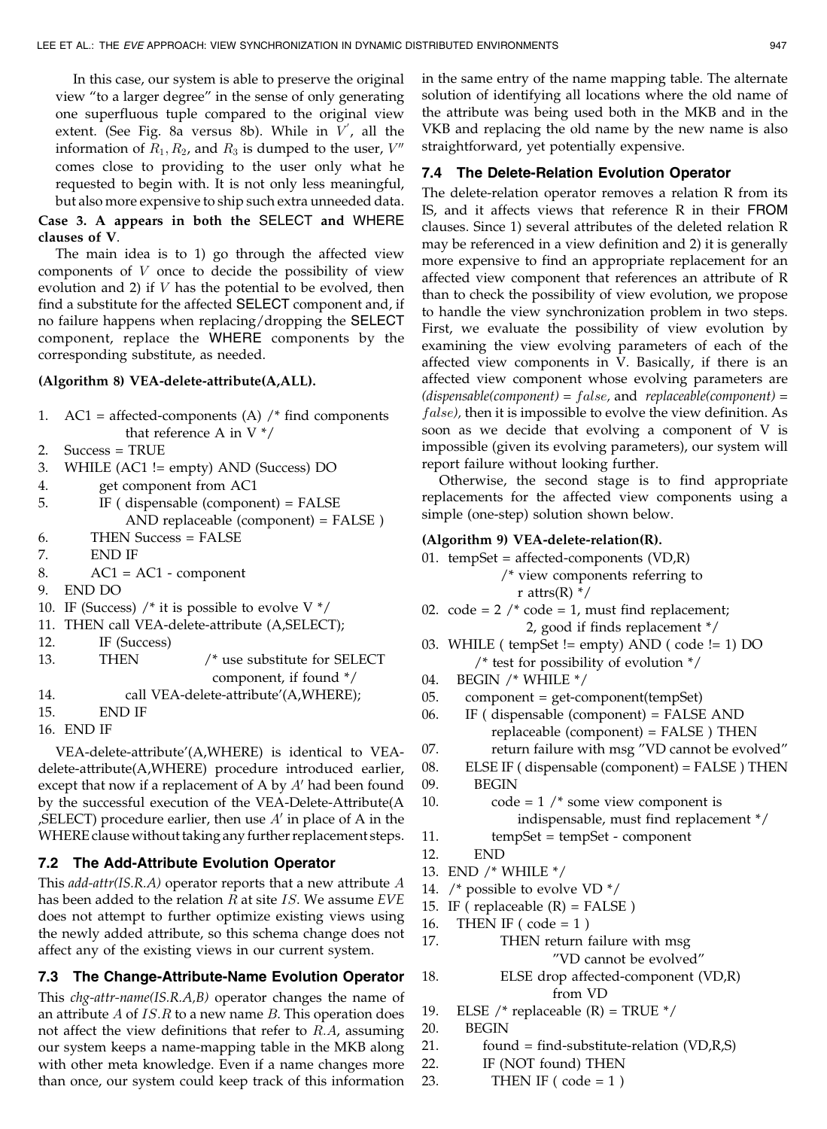In this case, our system is able to preserve the original view "to a larger degree" in the sense of only generating one superfluous tuple compared to the original view extent. (See Fig. 8a versus 8b). While in  $V'$ , all the information of  $R_1, R_2$ , and  $R_3$  is dumped to the user,  $V''$ comes close to providing to the user only what he requested to begin with. It is not only less meaningful, but also more expensive to ship such extra unneeded data.

### Case 3. A appears in both the SELECT and WHERE clauses of V.

The main idea is to 1) go through the affected view components of  $V$  once to decide the possibility of view evolution and 2) if  $V$  has the potential to be evolved, then find a substitute for the affected SELECT component and, if no failure happens when replacing/dropping the SELECT component, replace the WHERE components by the corresponding substitute, as needed.

#### (Algorithm 8) VEA-delete-attribute(A,ALL).

| 1. AC1 = affected-components (A) $/*$ find components |
|-------------------------------------------------------|
| that reference A in $V^*/$                            |
| 2. $Success = TRUE$                                   |
| 3. WHILE (AC1 != empty) AND (Success) DO              |

- 4. get component from AC1
- 5. IF ( dispensable (component) = FALSE AND replaceable (component) = FALSE )
- 6. THEN Success = FALSE
- 7. END IF
- 8. AC1 = AC1 component
- 9. END DO
- 10. IF (Success)  $\prime^*$  it is possible to evolve V $\prime$
- 11. THEN call VEA-delete-attribute (A,SELECT);
- 12. IF (Success)
- 13. THEN /\* use substitute for SELECT component, if found \*/

14. call VEA-delete-attribute'(A,WHERE);

- 15. END IF
- 16. END IF

VEA-delete-attribute'(A,WHERE) is identical to VEAdelete-attribute(A,WHERE) procedure introduced earlier, except that now if a replacement of A by  $A'$  had been found by the successful execution of the VEA-Delete-Attribute(A , SELECT) procedure earlier, then use  $A'$  in place of A in the WHERE clause without taking any further replacement steps.

### 7.2 The Add-Attribute Evolution Operator

This *add-attr*(IS.R.A) operator reports that a new attribute  $A$ has been added to the relation  $R$  at site  $IS$ . We assume  $EVE$ does not attempt to further optimize existing views using the newly added attribute, so this schema change does not affect any of the existing views in our current system.

#### 7.3 The Change-Attribute-Name Evolution Operator

This chg-attr-name(IS.R.A,B) operator changes the name of an attribute  $A$  of  $IS.R$  to a new name  $B$ . This operation does not affect the view definitions that refer to  $R.A$ , assuming our system keeps a name-mapping table in the MKB along with other meta knowledge. Even if a name changes more than once, our system could keep track of this information

in the same entry of the name mapping table. The alternate solution of identifying all locations where the old name of the attribute was being used both in the MKB and in the VKB and replacing the old name by the new name is also straightforward, yet potentially expensive.

### 7.4 The Delete-Relation Evolution Operator

The delete-relation operator removes a relation R from its IS, and it affects views that reference R in their FROM clauses. Since 1) several attributes of the deleted relation R may be referenced in a view definition and 2) it is generally more expensive to find an appropriate replacement for an affected view component that references an attribute of R than to check the possibility of view evolution, we propose to handle the view synchronization problem in two steps. First, we evaluate the possibility of view evolution by examining the view evolving parameters of each of the affected view components in V. Basically, if there is an affected view component whose evolving parameters are  $(dispensable (component) = false,$  and replaceable(component) =  $false$ , then it is impossible to evolve the view definition. As soon as we decide that evolving a component of V is impossible (given its evolving parameters), our system will report failure without looking further.

Otherwise, the second stage is to find appropriate replacements for the affected view components using a simple (one-step) solution shown below.

### (Algorithm 9) VEA-delete-relation(R).

- 01. tempSet = affected-components (VD,R)
	- /\* view components referring to r attrs $(R)$  \*/
- 02.  $code = 2$  /\*  $code = 1$ , must find replacement; 2, good if finds replacement \*/
- 03. WHILE ( tempSet != empty) AND ( code != 1) DO /\* test for possibility of evolution \*/
- 04. BEGIN /\* WHILE \*/
- 05. component = get-component(tempSet)
- 06. IF ( dispensable (component) = FALSE AND replaceable (component) = FALSE ) THEN
- 07. return failure with msg "VD cannot be evolved"
- 08. ELSE IF ( dispensable (component) =  $FALSE$  ) THEN
- 09. BEGIN
- 10.  $\code = 1 / *$  some view component is indispensable, must find replacement \*/ 11. tempSet = tempSet - component
- 12. END
- 13. END /\* WHILE \*/
- 14. /\* possible to evolve VD \*/
- 15. IF ( replaceable  $(R)$  = FALSE )
- 16. THEN IF ( $code = 1$ )
- 17. THEN return failure with msg
	- "VD cannot be evolved"
- 18. ELSE drop affected-component (VD,R) from VD
- 19. ELSE /\* replaceable  $(R) = TRUE$  \*/
- 20. BEGIN
- 21. found = find-substitute-relation (VD,R,S)
- 22. IF (NOT found) THEN
- 23. THEN IF ( $code = 1$ )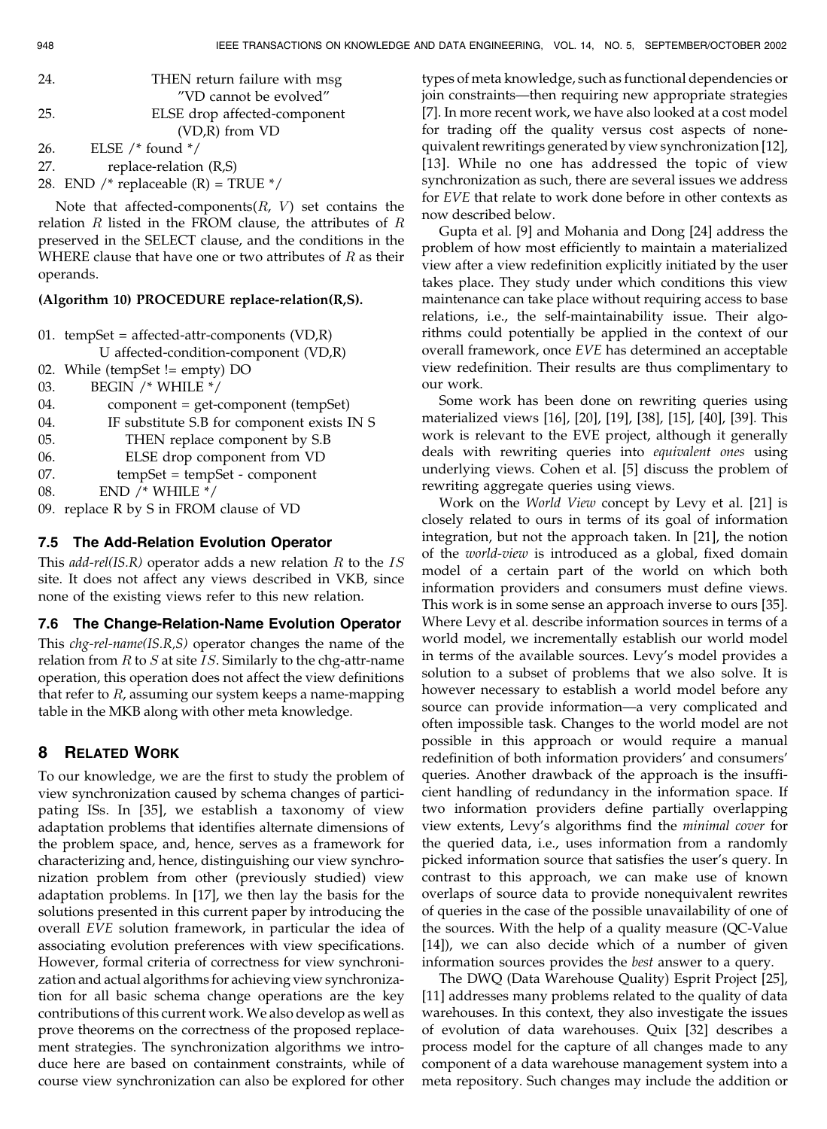| 24. | THEN return failure with msg |
|-----|------------------------------|
|     | "VD cannot be evolved"       |
| 25. | ELSE drop affected-component |
|     | $(VD,R)$ from $VD$           |
| 26. | ELSE $/*$ found $*/$         |
| 27. | replace-relation $(R, S)$    |

28. END /\* replaceable  $(R) = TRUE$  \*/

Note that affected-components( $R$ ,  $V$ ) set contains the relation  $R$  listed in the FROM clause, the attributes of  $R$ preserved in the SELECT clause, and the conditions in the WHERE clause that have one or two attributes of  $R$  as their operands.

### (Algorithm 10) PROCEDURE replace-relation(R,S).

01. tempSet = affected-attr-components (VD,R)

U affected-condition-component (VD,R)

- 02. While (tempSet != empty) DO
- 03. BEGIN /\* WHILE \*/
- 04. component = get-component (tempSet)
- 04. IF substitute S.B for component exists IN S
- 05. THEN replace component by S.B
- 06. ELSE drop component from VD
- 07. tempSet = tempSet component
- 08. END /\* WHILE \*/

09. replace R by S in FROM clause of VD

# 7.5 The Add-Relation Evolution Operator

This *add-rel*(IS.R) operator adds a new relation  $R$  to the  $IS$ site. It does not affect any views described in VKB, since none of the existing views refer to this new relation.

# 7.6 The Change-Relation-Name Evolution Operator

This chg-rel-name(IS.R,S) operator changes the name of the relation from  $R$  to  $S$  at site  $IS$ . Similarly to the chg-attr-name operation, this operation does not affect the view definitions that refer to  $R$ , assuming our system keeps a name-mapping table in the MKB along with other meta knowledge.

# 8 RELATED WORK

To our knowledge, we are the first to study the problem of view synchronization caused by schema changes of participating ISs. In [35], we establish a taxonomy of view adaptation problems that identifies alternate dimensions of the problem space, and, hence, serves as a framework for characterizing and, hence, distinguishing our view synchronization problem from other (previously studied) view adaptation problems. In [17], we then lay the basis for the solutions presented in this current paper by introducing the overall EVE solution framework, in particular the idea of associating evolution preferences with view specifications. However, formal criteria of correctness for view synchronization and actual algorithms for achieving view synchronization for all basic schema change operations are the key contributions of this current work. We also develop as well as prove theorems on the correctness of the proposed replacement strategies. The synchronization algorithms we introduce here are based on containment constraints, while of course view synchronization can also be explored for other

types of meta knowledge, such as functional dependencies or join constraints—then requiring new appropriate strategies [7]. In more recent work, we have also looked at a cost model for trading off the quality versus cost aspects of nonequivalent rewritings generated by view synchronization [12], [13]. While no one has addressed the topic of view synchronization as such, there are several issues we address for EVE that relate to work done before in other contexts as now described below.

Gupta et al. [9] and Mohania and Dong [24] address the problem of how most efficiently to maintain a materialized view after a view redefinition explicitly initiated by the user takes place. They study under which conditions this view maintenance can take place without requiring access to base relations, i.e., the self-maintainability issue. Their algorithms could potentially be applied in the context of our overall framework, once EVE has determined an acceptable view redefinition. Their results are thus complimentary to our work.

Some work has been done on rewriting queries using materialized views [16], [20], [19], [38], [15], [40], [39]. This work is relevant to the EVE project, although it generally deals with rewriting queries into equivalent ones using underlying views. Cohen et al. [5] discuss the problem of rewriting aggregate queries using views.

Work on the World View concept by Levy et al. [21] is closely related to ours in terms of its goal of information integration, but not the approach taken. In [21], the notion of the world-view is introduced as a global, fixed domain model of a certain part of the world on which both information providers and consumers must define views. This work is in some sense an approach inverse to ours [35]. Where Levy et al. describe information sources in terms of a world model, we incrementally establish our world model in terms of the available sources. Levy's model provides a solution to a subset of problems that we also solve. It is however necessary to establish a world model before any source can provide information—a very complicated and often impossible task. Changes to the world model are not possible in this approach or would require a manual redefinition of both information providers' and consumers' queries. Another drawback of the approach is the insufficient handling of redundancy in the information space. If two information providers define partially overlapping view extents, Levy's algorithms find the minimal cover for the queried data, i.e., uses information from a randomly picked information source that satisfies the user's query. In contrast to this approach, we can make use of known overlaps of source data to provide nonequivalent rewrites of queries in the case of the possible unavailability of one of the sources. With the help of a quality measure (QC-Value [14]), we can also decide which of a number of given information sources provides the best answer to a query.

The DWQ (Data Warehouse Quality) Esprit Project [25], [11] addresses many problems related to the quality of data warehouses. In this context, they also investigate the issues of evolution of data warehouses. Quix [32] describes a process model for the capture of all changes made to any component of a data warehouse management system into a meta repository. Such changes may include the addition or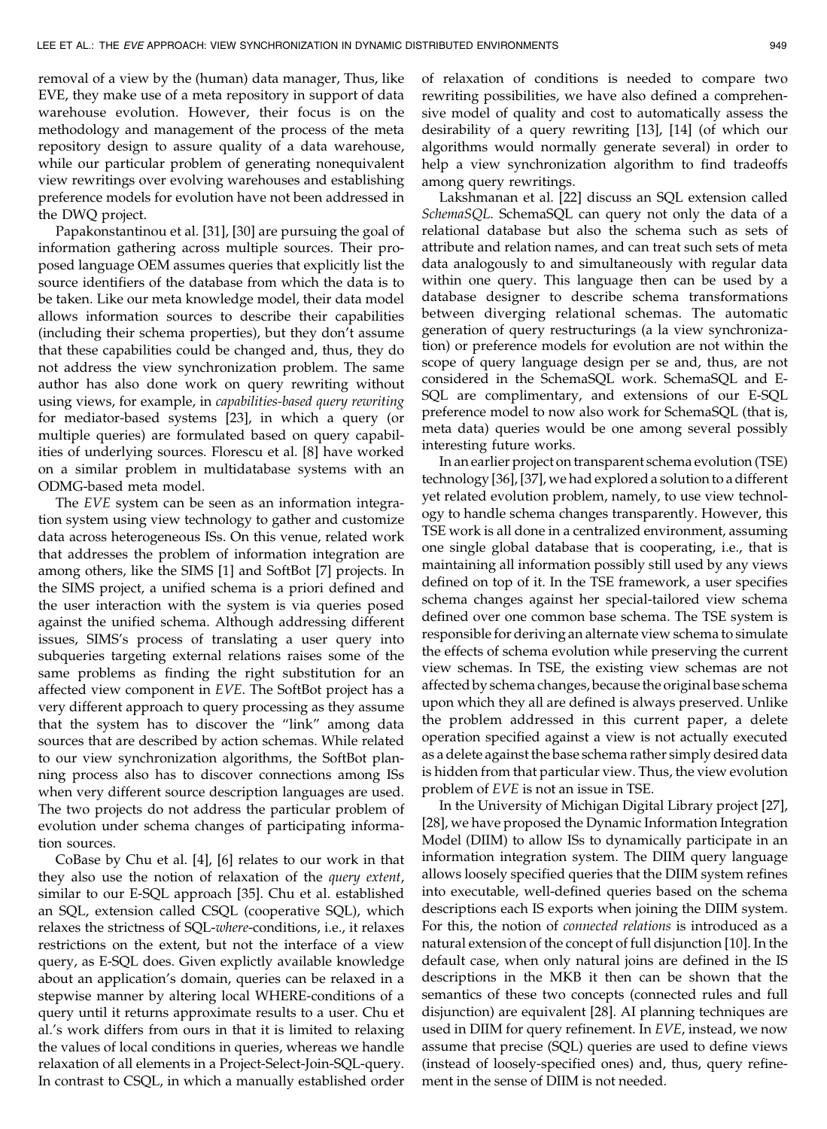removal of a view by the (human) data manager, Thus, like EVE, they make use of a meta repository in support of data warehouse evolution. However, their focus is on the methodology and management of the process of the meta repository design to assure quality of a data warehouse, while our particular problem of generating nonequivalent view rewritings over evolving warehouses and establishing preference models for evolution have not been addressed in the DWQ project.

Papakonstantinou et al. [31], [30] are pursuing the goal of information gathering across multiple sources. Their proposed language OEM assumes queries that explicitly list the source identifiers of the database from which the data is to be taken. Like our meta knowledge model, their data model allows information sources to describe their capabilities (including their schema properties), but they don't assume that these capabilities could be changed and, thus, they do not address the view synchronization problem. The same author has also done work on query rewriting without using views, for example, in capabilities-based query rewriting for mediator-based systems [23], in which a query (or multiple queries) are formulated based on query capabilities of underlying sources. Florescu et al. [8] have worked on a similar problem in multidatabase systems with an ODMG-based meta model.

The EVE system can be seen as an information integration system using view technology to gather and customize data across heterogeneous ISs. On this venue, related work that addresses the problem of information integration are among others, like the SIMS [1] and SoftBot [7] projects. In the SIMS project, a unified schema is a priori defined and the user interaction with the system is via queries posed against the unified schema. Although addressing different issues, SIMS's process of translating a user query into subqueries targeting external relations raises some of the same problems as finding the right substitution for an affected view component in EVE. The SoftBot project has a very different approach to query processing as they assume that the system has to discover the "link" among data sources that are described by action schemas. While related to our view synchronization algorithms, the SoftBot planning process also has to discover connections among ISs when very different source description languages are used. The two projects do not address the particular problem of evolution under schema changes of participating information sources.

CoBase by Chu et al. [4], [6] relates to our work in that they also use the notion of relaxation of the query extent, similar to our E-SQL approach [35]. Chu et al. established an SQL, extension called CSQL (cooperative SQL), which relaxes the strictness of SQL-where-conditions, i.e., it relaxes restrictions on the extent, but not the interface of a view query, as E-SQL does. Given explictly available knowledge about an application's domain, queries can be relaxed in a stepwise manner by altering local WHERE-conditions of a query until it returns approximate results to a user. Chu et al.'s work differs from ours in that it is limited to relaxing the values of local conditions in queries, whereas we handle relaxation of all elements in a Project-Select-Join-SQL-query. In contrast to CSQL, in which a manually established order

of relaxation of conditions is needed to compare two rewriting possibilities, we have also defined a comprehensive model of quality and cost to automatically assess the desirability of a query rewriting [13], [14] (of which our algorithms would normally generate several) in order to help a view synchronization algorithm to find tradeoffs among query rewritings.

Lakshmanan et al. [22] discuss an SQL extension called SchemaSQL. SchemaSQL can query not only the data of a relational database but also the schema such as sets of attribute and relation names, and can treat such sets of meta data analogously to and simultaneously with regular data within one query. This language then can be used by a database designer to describe schema transformations between diverging relational schemas. The automatic generation of query restructurings (a la view synchronization) or preference models for evolution are not within the scope of query language design per se and, thus, are not considered in the SchemaSQL work. SchemaSQL and E-SQL are complimentary, and extensions of our E-SQL preference model to now also work for SchemaSQL (that is, meta data) queries would be one among several possibly interesting future works.

In an earlier project on transparent schema evolution (TSE) technology [36], [37], we had explored a solution to a different yet related evolution problem, namely, to use view technology to handle schema changes transparently. However, this TSE work is all done in a centralized environment, assuming one single global database that is cooperating, i.e., that is maintaining all information possibly still used by any views defined on top of it. In the TSE framework, a user specifies schema changes against her special-tailored view schema defined over one common base schema. The TSE system is responsible for deriving an alternate view schema to simulate the effects of schema evolution while preserving the current view schemas. In TSE, the existing view schemas are not affected by schema changes, because the original base schema upon which they all are defined is always preserved. Unlike the problem addressed in this current paper, a delete operation specified against a view is not actually executed as a delete against the base schema rather simply desired data is hidden from that particular view. Thus, the view evolution problem of EVE is not an issue in TSE.

In the University of Michigan Digital Library project [27], [28], we have proposed the Dynamic Information Integration Model (DIIM) to allow ISs to dynamically participate in an information integration system. The DIIM query language allows loosely specified queries that the DIIM system refines into executable, well-defined queries based on the schema descriptions each IS exports when joining the DIIM system. For this, the notion of connected relations is introduced as a natural extension of the concept of full disjunction [10]. In the default case, when only natural joins are defined in the IS descriptions in the MKB it then can be shown that the semantics of these two concepts (connected rules and full disjunction) are equivalent [28]. AI planning techniques are used in DIIM for query refinement. In EVE, instead, we now assume that precise (SQL) queries are used to define views (instead of loosely-specified ones) and, thus, query refinement in the sense of DIIM is not needed.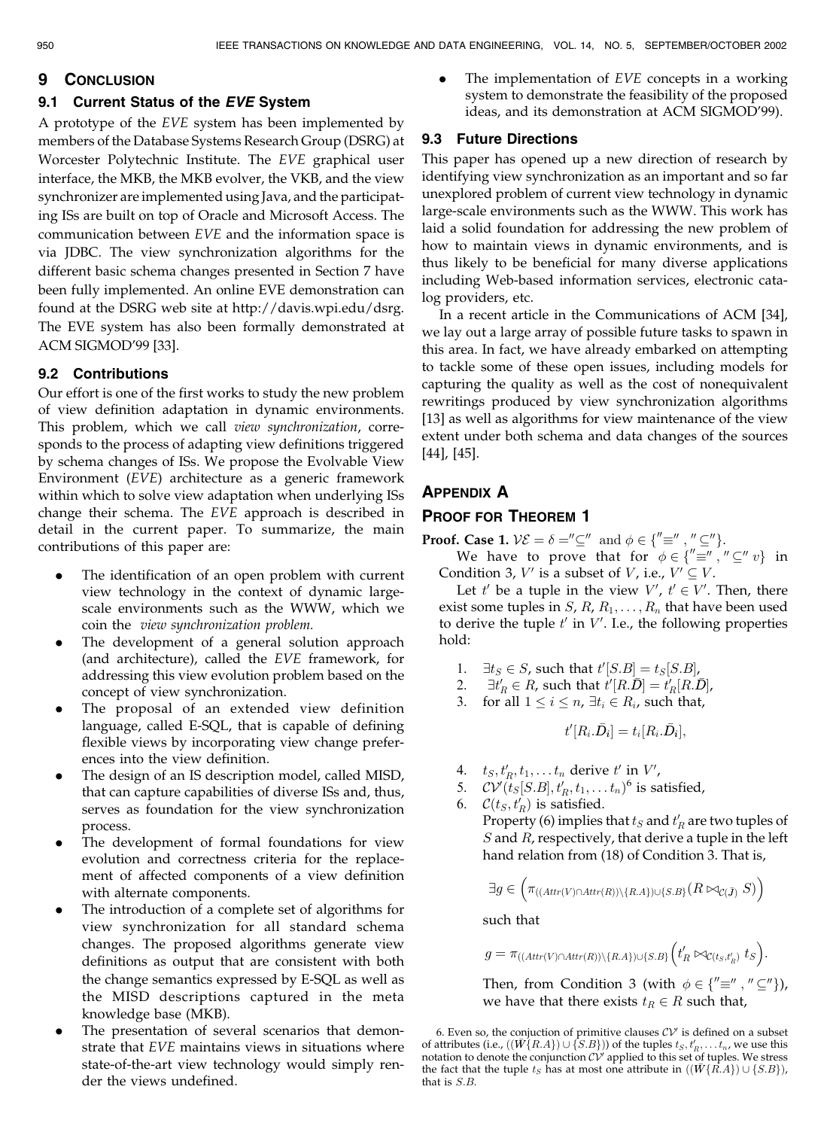# 9 CONCLUSION

# 9.1 Current Status of the EVE System

A prototype of the EVE system has been implemented by members of the Database Systems Research Group (DSRG) at Worcester Polytechnic Institute. The EVE graphical user interface, the MKB, the MKB evolver, the VKB, and the view synchronizer are implemented using Java, and the participating ISs are built on top of Oracle and Microsoft Access. The communication between EVE and the information space is via JDBC. The view synchronization algorithms for the different basic schema changes presented in Section 7 have been fully implemented. An online EVE demonstration can found at the DSRG web site at http://davis.wpi.edu/dsrg. The EVE system has also been formally demonstrated at ACM SIGMOD'99 [33].

### 9.2 Contributions

Our effort is one of the first works to study the new problem of view definition adaptation in dynamic environments. This problem, which we call view synchronization, corresponds to the process of adapting view definitions triggered by schema changes of ISs. We propose the Evolvable View Environment (EVE) architecture as a generic framework within which to solve view adaptation when underlying ISs change their schema. The EVE approach is described in detail in the current paper. To summarize, the main contributions of this paper are:

- . The identification of an open problem with current view technology in the context of dynamic largescale environments such as the WWW, which we coin the view synchronization problem.
- . The development of a general solution approach (and architecture), called the EVE framework, for addressing this view evolution problem based on the concept of view synchronization.
- . The proposal of an extended view definition language, called E-SQL, that is capable of defining flexible views by incorporating view change preferences into the view definition.
- . The design of an IS description model, called MISD, that can capture capabilities of diverse ISs and, thus, serves as foundation for the view synchronization process.
- . The development of formal foundations for view evolution and correctness criteria for the replacement of affected components of a view definition with alternate components.
- . The introduction of a complete set of algorithms for view synchronization for all standard schema changes. The proposed algorithms generate view definitions as output that are consistent with both the change semantics expressed by E-SQL as well as the MISD descriptions captured in the meta knowledge base (MKB).
- . The presentation of several scenarios that demonstrate that EVE maintains views in situations where state-of-the-art view technology would simply render the views undefined.

The implementation of *EVE* concepts in a working system to demonstrate the feasibility of the proposed ideas, and its demonstration at ACM SIGMOD'99).

### 9.3 Future Directions

This paper has opened up a new direction of research by identifying view synchronization as an important and so far unexplored problem of current view technology in dynamic large-scale environments such as the WWW. This work has laid a solid foundation for addressing the new problem of how to maintain views in dynamic environments, and is thus likely to be beneficial for many diverse applications including Web-based information services, electronic catalog providers, etc.

In a recent article in the Communications of ACM [34], we lay out a large array of possible future tasks to spawn in this area. In fact, we have already embarked on attempting to tackle some of these open issues, including models for capturing the quality as well as the cost of nonequivalent rewritings produced by view synchronization algorithms [13] as well as algorithms for view maintenance of the view extent under both schema and data changes of the sources [44], [45].

# APPENDIX A

# PROOF FOR THEOREM 1

**Proof.** Case 1.  $\mathcal{VE} = \delta = \subseteq'' \subseteq''$  and  $\phi \in \{\mathcal{W} \subseteq \mathcal{W}, \mathcal{W} \subseteq \mathcal{W}\}.$ We have to prove that for  $\phi \in \{ \ell'\equiv'' , \ell'\subseteq'' v\}$  in

Condition 3,  $V'$  is a subset of V, i.e.,  $V' \subseteq V$ . Let t' be a tuple in the view  $V'$ ,  $t' \in V'$ . Then, there exist some tuples in  $S$ ,  $R$ ,  $R_1, \ldots, R_n$  that have been used to derive the tuple  $t'$  in  $V'$ . I.e., the following properties hold:

- 1.  $\exists t_S \in S$ , such that  $t'[S.B] = t_S[S.B]$ ,
- 2.  $\exists t'_R \in R$ , such that  $\dot{t}'[R.\overline{D}] = \dot{t}'_R[R.\overline{D}],$
- 3. for all  $1 \leq i \leq n$ ,  $\exists t_i \in R_i$ , such that,

$$
t'[R_i.\bar{D}_i] = t_i[R_i.\bar{D}_i],
$$

- 4.  $t_S, t_R', t_1, \ldots t_n$  derive  $t'$  in  $V'$ ,
- 5.  $CV(t_S[S.B], t_R', t_1, \ldots t_n)^6$  is satisfied,

6.  $C(t_S, t_R')$  is satisfied. Property (6) implies that  $t_S$  and  $t_R'$  are two tuples of  $S$  and  $R$ , respectively, that derive a tuple in the left hand relation from (18) of Condition 3. That is,

$$
\exists g \in \left(\pi_{((Attr(V) \cap Attr(R)) \setminus \{R.A\}) \cup \{S.B\}}(R \bowtie_{\mathcal{C}(\bar{J})} S)\right)
$$

such that

$$
g = \pi_{((Attr(V) \cap Attr(R)) \setminus \{R.A\}) \cup \{S.B\}} \Big( t'_R \bowtie_{\mathcal{C}(t_S, t'_R)} t_S \Big).
$$

Then, from Condition 3 (with  $\phi \in \{$ '' \equiv '' , '' \subseteq ''\}), we have that there exists  $t_R \in R$  such that,

<sup>6.</sup> Even so, the conjuction of primitive clauses  $CV'$  is defined on a subset of attributes (i.e.,  $((\bar{W}(R.A)) \cup \{\overline{S}.B\}))$  of the tuples  $t_S, t_R', \ldots t_n$ , we use this notation to denote the conjunction  $\mathcal{CV}'$  applied to this set of tuples. We stress the fact that the tuple  $t_S$  has at most one attribute in  $((\bar{W}\{\vec{R.A}\}) \cup \{S.B\})$ , that is  $S.B.$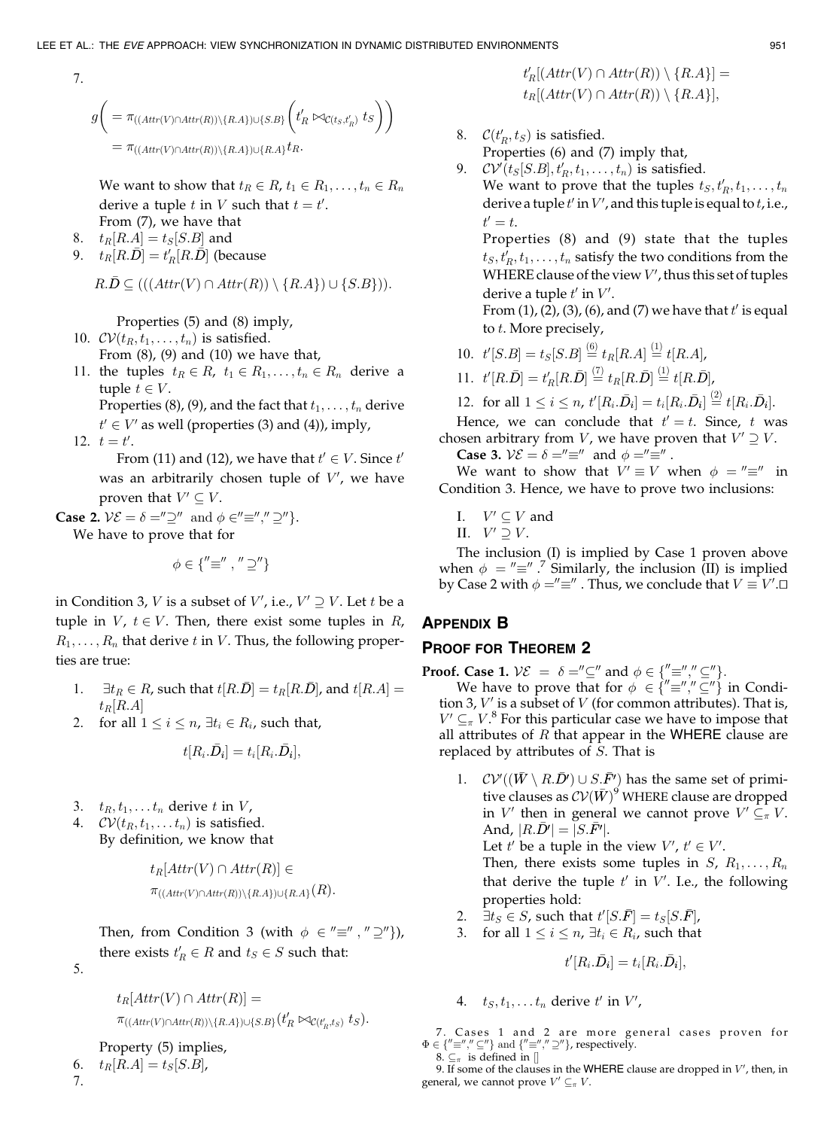7.

$$
g\left( = \pi_{((Attr(V)\cap Attr(R))\backslash \{R.A\})\cup \{S.B\}}\left(t'_R \bowtie_{\mathcal{C}(ts,t'_R)} ts\right) \right)
$$
  
=  $\pi_{((Attr(V)\cap Attr(R))\backslash \{R.A\})\cup \{R.A\}} t_R.$ 

We want to show that  $t_R \in R$ ,  $t_1 \in R_1, \ldots, t_n \in R_n$ derive a tuple t in V such that  $t = t'$ . From (7), we have that

- 8.  $t_R[R.A] = t_S[S.B]$  and
- 9.  $t_R[R.\bar{D}] = t_R'[R.\bar{D}]$  (because

$$
R.\overline{D} \subseteq (((Attr(V) \cap Attr(R)) \setminus \{R.A\}) \cup \{S.B\})).
$$

Properties (5) and (8) imply,

- 10.  $CV(t_R, t_1, \ldots, t_n)$  is satisfied. From (8), (9) and (10) we have that,
- 11. the tuples  $t_R \in R$ ,  $t_1 \in R_1, \ldots, t_n \in R_n$  derive a tuple  $t \in V$ .

Properties (8), (9), and the fact that  $t_1, \ldots, t_n$  derive  $t' \in V'$  as well (properties (3) and (4)), imply,

12.  $t = t'$ .

From (11) and (12), we have that  $t' \in V$ . Since  $t'$ was an arbitrarily chosen tuple of  $V'$ , we have proven that  $V' \subseteq V$ .

**Case 2.**  $V\mathcal{E} = \delta = \mathbf{Z} \mathbf{Z}$  and  $\phi \in \mathbf{Z} \mathbf{Z}$ ,  $\mathbf{Z} \mathbf{Z}$ . We have to prove that for

 $\phi \in \{$ ''\equiv", " $\supseteq$ "}

in Condition 3, *V* is a subset of *V'*, i.e.,  $V' \supseteq V$ . Let *t* be a tuple in *V*,  $t \in V$ . Then, there exist some tuples in *R*,  $R_1, \ldots, R_n$  that derive t in V. Thus, the following properties are true:

- 1.  $\exists t_R \in R$ , such that  $t[R.\bar{D}] = t_R[R.\bar{D}]$ , and  $t[R.A] =$  $t_R[R.A]$
- 2. for all  $1 \leq i \leq n$ ,  $\exists t_i \in R_i$ , such that,

$$
t[R_i.\bar{D_i}] = t_i[R_i.\bar{D_i}],
$$

- 3.  $t_R, t_1, \ldots t_n$  derive t in V,
- 4.  $CV(t_R, t_1, \ldots t_n)$  is satisfied. By definition, we know that

 $t_R[Attr(V) \cap Attr(R)] \in$  $\pi_{((Attr(V)\capAttr(R))\setminus{R.A}\cup{R.A}}(R).$ 

Then, from Condition 3 (with  $\phi \in \ell \equiv \ell', \ell' \supseteq \ell'$ ), there exists  $t'_R \in R$  and  $t_S \in S$  such that:

5.

$$
t_R[Attr(V) \cap Attr(R)] =
$$

 $\pi_{((Attr(V)\capAttr(R))\setminus{R.A})\cup{S.B}}(t'_R \bowtie_{\mathcal{C}(t'_R,t_S)} t_S).$ 

# Property (5) implies,

6.  $t_R[R.A] = t_S[S.B],$ 7.

- $t'_{R}[(Attr(V) \cap Attr(R)) \setminus {R.A}] =$  $t_R[(Attr(V) \cap Attr(R)) \setminus {R.A}$ ,
- 8.  $C(t'_R, t_S)$  is satisfied. Properties (6) and (7) imply that,
- 9.  $CV(t_S[S.B], t_R', t_1, \ldots, t_n)$  is satisfied. We want to prove that the tuples  $t_S, t_R', t_1, \ldots, t_n$ derive a tuple  $t'$  in  $V'$ , and this tuple is equal to  $t$ , i.e.,  $t'=t.$

Properties (8) and (9) state that the tuples  $t_S, t_R', t_1, \ldots, t_n$  satisfy the two conditions from the WHERE clause of the view  $V'$ , thus this set of tuples derive a tuple  $t'$  in  $V'$ .

From  $(1)$ ,  $(2)$ ,  $(3)$ ,  $(6)$ , and  $(7)$  we have that  $t'$  is equal to  $t$ . More precisely,

10. 
$$
t'[S.B] = t_S[S.B] \stackrel{(6)}{=} t_R[R.A] \stackrel{(1)}{=} t[R.A],
$$

11.  $t'[R.\bar{D}] = t'_{R}[R.\bar{D}] \stackrel{(7)}{=} t_{R}[R.\bar{D}] \stackrel{(1)}{=} t[R.\bar{D}],$ 

12. for all  $1 \leq i \leq n$ ,  $t'[R_i \cdot \bar{D}_i] = t_i[R_i \cdot \bar{D}_i] \stackrel{(2)}{=} t[R_i \cdot \bar{D}_i]$ .

Hence, we can conclude that  $t' = t$ . Since, t was chosen arbitrary from *V*, we have proven that  $V' \supseteq V$ .

**Case 3.**  $VE = \delta = \equiv \pmod{\phi} = \equiv \equiv \pmod{1}$ .

We want to show that  $V' \equiv V$  when  $\phi = \ell' = \ell'$  in Condition 3. Hence, we have to prove two inclusions:

- I.  $V' \subseteq V$  and
- II.  $V' \supseteq V$ .

The inclusion (I) is implied by Case 1 proven above when  $\phi = \alpha = \alpha^7$  Similarly, the inclusion (II) is implied by Case 2 with  $\phi ='' \equiv''$  . Thus, we conclude that  $V \equiv V'$  . $\Box$ 

# APPENDIX B

# PROOF FOR THEOREM 2

**Proof.** Case 1.  $V\mathcal{E} = \delta = \mathcal{E}' \subseteq \mathcal{E}'$  and  $\phi \in \mathcal{E}' = \mathcal{E}'', \mathcal{E}' = \mathcal{E}''.$ 

We have to prove that for  $\phi \in \{m \equiv n, n \subseteq n\}$  in Condition 3,  $V'$  is a subset of  $V$  (for common attributes). That is,  $V' \subseteq_{\pi} V$ .<sup>8</sup> For this particular case we have to impose that all attributes of  $R$  that appear in the WHERE clause are replaced by attributes of  $S$ . That is

- 1.  $\mathcal{CV}((\bar{W}\setminus R.\bar{D'})\cup S.\bar{F'})$  has the same set of primitive clauses as  $\mathcal{CV}(\bar{W})^9$  WHERE clause are dropped in V' then in general we cannot prove  $V' \subseteq_{\pi} V$ . And,  $|R.\bar{D'}| = |S.\bar{F'}|$ . Let t' be a tuple in the view  $V'$ ,  $t' \in V'$ . Then, there exists some tuples in  $S, R_1, \ldots, R_n$ that derive the tuple  $t'$  in  $V'$ . I.e., the following properties hold:
- 2.  $\exists t_S \in S$ , such that  $t'[S.\bar{F}] = t_S[S.\bar{F}],$
- 3. for all  $1 \leq i \leq n$ ,  $\exists t_i \in R_i$ , such that

$$
t'[R_i.\bar{D}_i] = t_i[R_i.\bar{D}_i],
$$

4.  $t_S, t_1, \ldots t_n$  derive  $t'$  in  $V'$ ,

7. Cases 1 and 2 are more general cases proven for  $\Phi \in \{{\text{''\equiv''},\text{''\equiv''}\}$  and  $\{{\text{''\equiv''},\text{''\equiv''}\}$ , respectively. 8.  $\subseteq_{\pi}$  is defined in  $\parallel$ 

9. If some of the clauses in the WHERE clause are dropped in  $V'$ , then, in general, we cannot prove  $V' \subseteq_{\pi} V$ .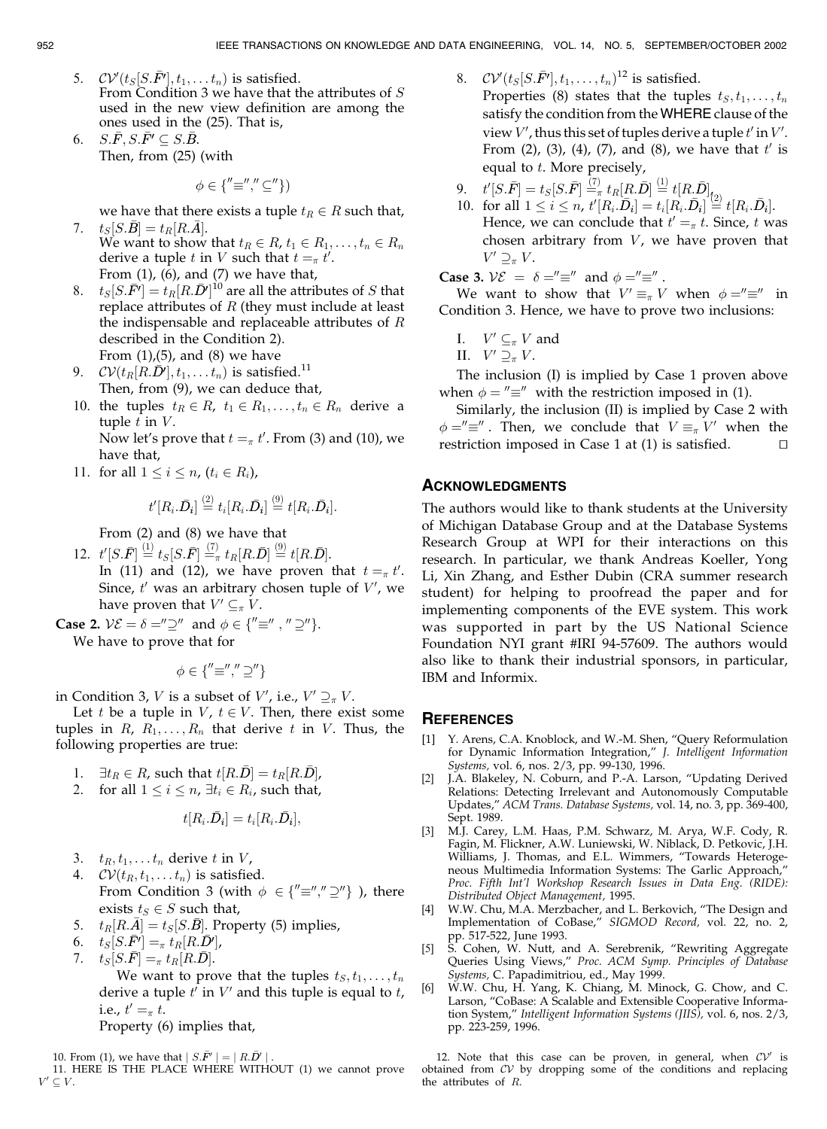- 5.  $CV(t_S[S.\bar{F}'], t_1, \ldots t_n)$  is satisfied. From Condition 3 we have that the attributes of S used in the new view definition are among the ones used in the (25). That is,
- 6.  $S.\bar{F}, S.\bar{F'} \subseteq S.\bar{B}.$ Then, from (25) (with

$$
\phi\in\{''\text{m}'',''\text{m}''\}
$$

we have that there exists a tuple  $t_R \in R$  such that, 7.  $t_S[S.B] = t_R[R.A].$ 

We want to show that  $t_R \in R$ ,  $t_1 \in R_1$ , ...,  $t_n \in R_n$ derive a tuple t in V such that  $t = \pi t'$ . From  $(1)$ ,  $(6)$ , and  $(7)$  we have that,

- 8.  $t_S[S.\bar{F}'] = t_R[R.\bar{D}']^{10}$  are all the attributes of S that replace attributes of  $R$  (they must include at least the indispensable and replaceable attributes of  $R$ described in the Condition 2). From  $(1)$ , $(5)$ , and  $(8)$  we have
- 9.  $CV(t_R[R.\bar{D}'], t_1, \ldots t_n)$  is satisfied.<sup>11</sup> Then, from (9), we can deduce that,
- 10. the tuples  $t_R \in R$ ,  $t_1 \in R_1, \ldots, t_n \in R_n$  derive a tuple  $t$  in  $V$ . Now let's prove that  $t = _{\pi} t'$ . From (3) and (10), we have that,
- 11. for all  $1 \leq i \leq n$ ,  $(t_i \in R_i)$ ,

$$
t'[R_i.\bar{D}_i] \stackrel{(2)}{=} t_i[R_i.\bar{D}_i] \stackrel{(9)}{=} t[R_i.\bar{D}_i].
$$

From (2) and (8) we have that

12.  $t'[S.\bar{F}] \stackrel{(1)}{=} t_S[S.\bar{F}] \stackrel{(7)}{=} t_R[R.\bar{D}] \stackrel{(9)}{=} t[R.\bar{D}].$ In (11) and (12), we have proven that  $t = \pi t'$ . Since,  $t'$  was an arbitrary chosen tuple of  $V'$ , we have proven that  $V' \subseteq_{\pi} V$ .

**Case 2.**  $V\mathcal{E} = \delta = \mathbf{Z} \mathbf{Z}^n$  and  $\phi \in \mathbf{Z}^n = \mathbf{Z}^n$ ,  $\mathbf{Z}^n = \mathbf{Z}^n$ .

We have to prove that for

$$
\phi\in \{''\text{m}'','\supseteq''\}
$$

in Condition 3, *V* is a subset of *V'*, i.e.,  $V' \supseteq_{\pi} V$ .

Let t be a tuple in  $V$ ,  $t \in V$ . Then, there exist some tuples in  $R$ ,  $R_1, \ldots, R_n$  that derive  $t$  in  $V$ . Thus, the following properties are true:

- 1.  $\exists t_R \in R$ , such that  $t[R.\bar{D}] = t_R[R.\bar{D}],$
- 2. for all  $1 \leq i \leq n$ ,  $\exists t_i \in R_i$ , such that,

$$
t[R_i.\bar{D_i}] = t_i[R_i.\bar{D_i}],
$$

- 3.  $t_R, t_1, \ldots t_n$  derive t in  $V$ ,
- 4.  $CV(t_R, t_1, \ldots t_n)$  is satisfied. From Condition 3 (with  $\phi \in \{ \ell \equiv'', \ell \supseteq'' \}$ ), there exists  $t_S \in S$  such that,
- 5.  $t_R[R.A] = t_S[S.B]$ . Property (5) implies,
- 6.  $t_S[S.\bar{F}'] =_{\pi} t_R[R.\bar{D}'],$
- 7.  $t_S[S.F] =_{\pi} t_R[R.D].$

We want to prove that the tuples  $t_S, t_1, \ldots, t_n$ derive a tuple  $t'$  in  $V'$  and this tuple is equal to  $t$ , i.e.,  $t' =_{\pi} t$ . Property (6) implies that,

10. From (1), we have that  $|S.\bar{F}'| = |R.\bar{D}'|$ .

11. HERE IS THE PLACE WHERE WITHOUT (1) we cannot prove  $V' \subseteq V.$ 

- 8.  $CV(t_S[S.\bar{F}'], t_1, \ldots, t_n)^{12}$  is satisfied.
	- Properties (8) states that the tuples  $t_S, t_1, \ldots, t_n$ satisfy the condition from the WHERE clause of the view  $V'$ , thus this set of tuples derive a tuple  $t'$  in  $V'$ . From  $(2)$ ,  $(3)$ ,  $(4)$ ,  $(7)$ , and  $(8)$ , we have that  $t'$  is equal to t. More precisely,
- 9.  $t'[S.\bar{F}]=t_S[S.\bar{F}]\stackrel{(7)}{=}_{\pi}t_R[R.\bar{D}]\stackrel{(1)}{=}t[R.\bar{D}]_s$
- 10. for all  $1 \leq i \leq n$ ,  $t'[R_i, \overline{D}_i] = t_i[R_i, \overline{D}_i] \stackrel{(2)}{=} t[R_i, \overline{D}_i].$ Hence, we can conclude that  $t' =_{\pi} t$ . Since, t was chosen arbitrary from  $V$ , we have proven that  $V' \supseteq_{\pi} V$ .
- **Case 3.**  $VE = \delta = \equiv'' \equiv''$  and  $\phi = \equiv'' \equiv''$ .

We want to show that  $V' \equiv_{\pi} V$  when  $\phi ='' \equiv'' \text{ in }$ Condition 3. Hence, we have to prove two inclusions:

- I.  $V' \subseteq_{\pi} V$  and
- II.  $V' \supseteq_{\pi} V$ .

The inclusion (I) is implied by Case 1 proven above when  $\phi = \theta = \theta'$  with the restriction imposed in (1).

Similarly, the inclusion (II) is implied by Case 2 with  $\phi = \equiv v'$ . Then, we conclude that  $V =_{\pi} V'$  when the restriction imposed in Case 1 at (1) is satisfied.  $\Box$ 

# ACKNOWLEDGMENTS

The authors would like to thank students at the University of Michigan Database Group and at the Database Systems Research Group at WPI for their interactions on this research. In particular, we thank Andreas Koeller, Yong Li, Xin Zhang, and Esther Dubin (CRA summer research student) for helping to proofread the paper and for implementing components of the EVE system. This work was supported in part by the US National Science Foundation NYI grant #IRI 94-57609. The authors would also like to thank their industrial sponsors, in particular, IBM and Informix.

# **REFERENCES**

- [1] Y. Arens, C.A. Knoblock, and W.-M. Shen, "Query Reformulation for Dynamic Information Integration," J. Intelligent Information Systems, vol. 6, nos. 2/3, pp. 99-130, 1996.
- [2] J.A. Blakeley, N. Coburn, and P.-A. Larson, "Updating Derived Relations: Detecting Irrelevant and Autonomously Computable Updates," ACM Trans. Database Systems, vol. 14, no. 3, pp. 369-400, Sept. 1989.
- [3] M.J. Carey, L.M. Haas, P.M. Schwarz, M. Arya, W.F. Cody, R. Fagin, M. Flickner, A.W. Luniewski, W. Niblack, D. Petkovic, J.H. Williams, J. Thomas, and E.L. Wimmers, "Towards Heterogeneous Multimedia Information Systems: The Garlic Approach," Proc. Fifth Int'l Workshop Research Issues in Data Eng. (RIDE): Distributed Object Management, 1995.
- [4] W.W. Chu, M.A. Merzbacher, and L. Berkovich, "The Design and Implementation of CoBase," SIGMOD Record, vol. 22, no. 2, pp. 517-522, June 1993.
- [5] S. Cohen, W. Nutt, and A. Serebrenik, "Rewriting Aggregate Queries Using Views," Proc. ACM Symp. Principles of Database Systems, C. Papadimitriou, ed., May 1999.
- [6] W.W. Chu, H. Yang, K. Chiang, M. Minock, G. Chow, and C. Larson, "CoBase: A Scalable and Extensible Cooperative Information System," Intelligent Information Systems (JIIS), vol. 6, nos. 2/3, pp. 223-259, 1996.

12. Note that this case can be proven, in general, when  $CV'$  is obtained from  $CV$  by dropping some of the conditions and replacing the attributes of R.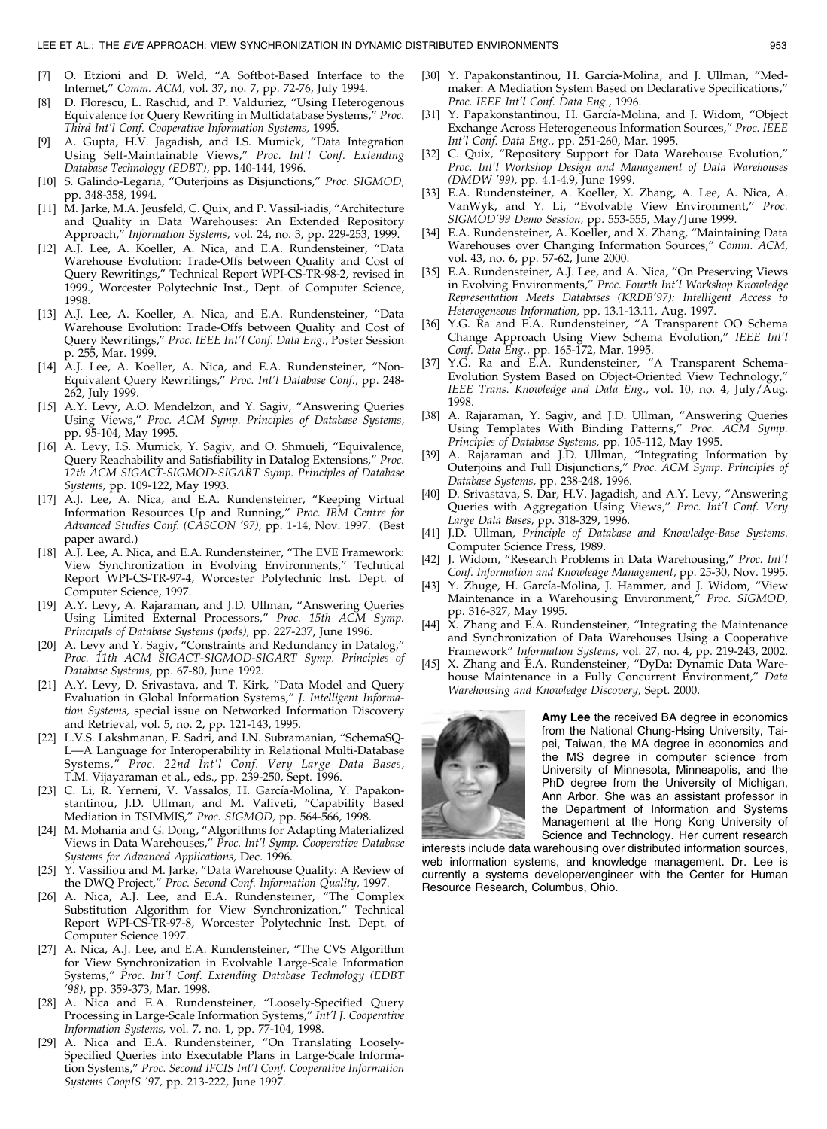- [7] O. Etzioni and D. Weld, "A Softbot-Based Interface to the Internet," Comm. ACM, vol. 37, no. 7, pp. 72-76, July 1994.
- [8] D. Florescu, L. Raschid, and P. Valduriez, "Using Heterogenous Equivalence for Query Rewriting in Multidatabase Systems," Proc. Third Int'l Conf. Cooperative Information Systems, 1995.
- [9] A. Gupta, H.V. Jagadish, and I.S. Mumick, "Data Integration Using Self-Maintainable Views," Proc. Int'l Conf. Extending Database Technology (EDBT), pp. 140-144, 1996.
- [10] S. Galindo-Legaria, "Outerjoins as Disjunctions," Proc. SIGMOD, pp. 348-358, 1994.
- [11] M. Jarke, M.A. Jeusfeld, C. Quix, and P. Vassil-iadis, "Architecture and Quality in Data Warehouses: An Extended Repository Approach," Information Systems, vol. 24, no. 3, pp. 229-253, 1999.
- [12] A.J. Lee, A. Koeller, A. Nica, and E.A. Rundensteiner, "Data Warehouse Evolution: Trade-Offs between Quality and Cost of Query Rewritings," Technical Report WPI-CS-TR-98-2, revised in 1999., Worcester Polytechnic Inst., Dept. of Computer Science, 1998.
- [13] A.J. Lee, A. Koeller, A. Nica, and E.A. Rundensteiner, "Data Warehouse Evolution: Trade-Offs between Quality and Cost of Query Rewritings," Proc. IEEE Int'l Conf. Data Eng., Poster Session p. 255, Mar. 1999.
- [14] A.J. Lee, A. Koeller, A. Nica, and E.A. Rundensteiner, "Non-Equivalent Query Rewritings," Proc. Int'l Database Conf., pp. 248- 262, July 1999.
- [15] A.Y. Levy, A.O. Mendelzon, and Y. Sagiv, "Answering Queries Using Views," Proc. ACM Symp. Principles of Database Systems, pp. 95-104, May 1995.
- [16] A. Levy, I.S. Mumick, Y. Sagiv, and O. Shmueli, "Equivalence, Query Reachability and Satisfiability in Datalog Extensions," Proc. 12th ACM SIGACT-SIGMOD-SIGART Symp. Principles of Database Systems, pp. 109-122, May 1993.
- [17] A.J. Lee, A. Nica, and E.A. Rundensteiner, "Keeping Virtual Information Resources Up and Running," Proc. IBM Centre for Advanced Studies Conf. (CASCON '97), pp. 1-14, Nov. 1997. (Best paper award.)
- [18] A.J. Lee, A. Nica, and E.A. Rundensteiner, "The EVE Framework: View Synchronization in Evolving Environments," Technical Report WPI-CS-TR-97-4, Worcester Polytechnic Inst. Dept. of Computer Science, 1997.
- [19] A.Y. Levy, A. Rajaraman, and J.D. Ullman, "Answering Queries Using Limited External Processors," Proc. 15th ACM Symp. Principals of Database Systems (pods), pp. 227-237, June 1996.
- [20] A. Levy and Y. Sagiv, "Constraints and Redundancy in Datalog," Proc. 11th ACM SIGACT-SIGMOD-SIGART Symp. Principles of Database Systems, pp. 67-80, June 1992.
- [21] A.Y. Levy, D. Srivastava, and T. Kirk, "Data Model and Query Evaluation in Global Information Systems," J. Intelligent Information Systems, special issue on Networked Information Discovery and Retrieval, vol. 5, no. 2, pp. 121-143, 1995.
- [22] L.V.S. Lakshmanan, F. Sadri, and I.N. Subramanian, "SchemaSQ-L—A Language for Interoperability in Relational Multi-Database Systems," Proc. 22nd Int'l Conf. Very Large Data Bases, T.M. Vijayaraman et al., eds., pp. 239-250, Sept. 1996.
- [23] C. Li, R. Yerneni, V. Vassalos, H. García-Molina, Y. Papakonstantinou, J.D. Ullman, and M. Valiveti, "Capability Based Mediation in TSIMMIS," Proc. SIGMOD, pp. 564-566, 1998.
- [24] M. Mohania and G. Dong, "Algorithms for Adapting Materialized Views in Data Warehouses," Proc. Int'l Symp. Cooperative Database Systems for Advanced Applications, Dec. 1996.
- [25] Y. Vassiliou and M. Jarke, "Data Warehouse Quality: A Review of the DWQ Project," Proc. Second Conf. Information Quality, 1997.
- [26] A. Nica, A.J. Lee, and E.A. Rundensteiner, "The Complex Substitution Algorithm for View Synchronization," Technical Report WPI-CS-TR-97-8, Worcester Polytechnic Inst. Dept. of Computer Science 1997.
- [27] A. Nica, A.J. Lee, and E.A. Rundensteiner, "The CVS Algorithm for View Synchronization in Evolvable Large-Scale Information Systems," Proc. Int'l Conf. Extending Database Technology (EDBT '98), pp. 359-373, Mar. 1998.
- [28] A. Nica and E.A. Rundensteiner, "Loosely-Specified Query Processing in Large-Scale Information Systems," Int'l J. Cooperative Information Systems, vol. 7, no. 1, pp. 77-104, 1998.
- [29] A. Nica and E.A. Rundensteiner, "On Translating Loosely-Specified Queries into Executable Plans in Large-Scale Information Systems," Proc. Second IFCIS Int'l Conf. Cooperative Information Systems CoopIS '97, pp. 213-222, June 1997.
- [30] Y. Papakonstantinou, H. García-Molina, and J. Ullman, "Medmaker: A Mediation System Based on Declarative Specifications," Proc. IEEE Int'l Conf. Data Eng., 1996.
- [31] Y. Papakonstantinou, H. García-Molina, and J. Widom, "Object Exchange Across Heterogeneous Information Sources," Proc. IEEE Int'l Conf. Data Eng., pp. 251-260, Mar. 1995.
- [32] C. Quix, "Repository Support for Data Warehouse Evolution," Proc. Int'l Workshop Design and Management of Data Warehouses (DMDW '99), pp. 4.1-4.9, June 1999.
- [33] E.A. Rundensteiner, A. Koeller, X. Zhang, A. Lee, A. Nica, A. VanWyk, and Y. Li, "Evolvable View Environment," Proc. SIGMOD'99 Demo Session, pp. 553-555, May/June 1999.
- [34] E.A. Rundensteiner, A. Koeller, and X. Zhang, "Maintaining Data Warehouses over Changing Information Sources," Comm. ACM, vol. 43, no. 6, pp. 57-62, June 2000.
- [35] E.A. Rundensteiner, A.J. Lee, and A. Nica, "On Preserving Views in Evolving Environments," Proc. Fourth Int'l Workshop Knowledge Representation Meets Databases (KRDB'97): Intelligent Access to Heterogeneous Information, pp. 13.1-13.11, Aug. 1997.
- [36] Y.G. Ra and E.A. Rundensteiner, "A Transparent OO Schema Change Approach Using View Schema Evolution," IEEE Int'l Conf. Data Eng., pp. 165-172, Mar. 1995.
- [37] Y.G. Ra and E.A. Rundensteiner, "A Transparent Schema-Evolution System Based on Object-Oriented View Technology," IEEE Trans. Knowledge and Data Eng., vol. 10, no. 4, July/Aug. 1998.
- [38] A. Rajaraman, Y. Sagiv, and J.D. Ullman, "Answering Queries Using Templates With Binding Patterns," Proc. ACM Symp. Principles of Database Systems, pp. 105-112, May 1995.
- [39] A. Rajaraman and J.D. Ullman, "Integrating Information by Outerjoins and Full Disjunctions," Proc. ACM Symp. Principles of Database Systems, pp. 238-248, 1996.
- [40] D. Srivastava, S. Dar, H.V. Jagadish, and A.Y. Levy, "Answering Queries with Aggregation Using Views," Proc. Int'l Conf. Very Large Data Bases, pp. 318-329, 1996.
- [41] J.D. Ullman, Principle of Database and Knowledge-Base Systems. Computer Science Press, 1989.
- [42] J. Widom, "Research Problems in Data Warehousing," Proc. Int'l Conf. Information and Knowledge Management, pp. 25-30, Nov. 1995.
- [43] Y. Zhuge, H. García-Molina, J. Hammer, and J. Widom, "View Maintenance in a Warehousing Environment," Proc. SIGMOD, pp. 316-327, May 1995.
- [44] X. Zhang and E.A. Rundensteiner, "Integrating the Maintenance and Synchronization of Data Warehouses Using a Cooperative Framework" Information Systems, vol. 27, no. 4, pp. 219-243, 2002.
- [45] X. Zhang and E.A. Rundensteiner, "DyDa: Dynamic Data Warehouse Maintenance in a Fully Concurrent Environment," Data Warehousing and Knowledge Discovery, Sept. 2000.



Amy Lee the received BA degree in economics from the National Chung-Hsing University, Taipei, Taiwan, the MA degree in economics and the MS degree in computer science from University of Minnesota, Minneapolis, and the PhD degree from the University of Michigan, Ann Arbor. She was an assistant professor in the Department of Information and Systems Management at the Hong Kong University of Science and Technology. Her current research

interests include data warehousing over distributed information sources, web information systems, and knowledge management. Dr. Lee is currently a systems developer/engineer with the Center for Human Resource Research, Columbus, Ohio.